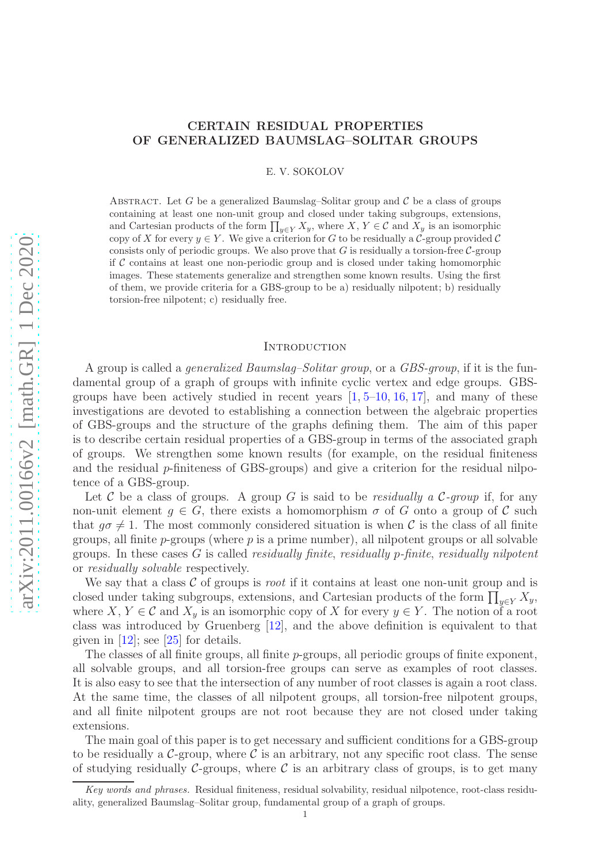# CERTAIN RESIDUAL PROPERTIES OF GENERALIZED BAUMSLAG–SOLITAR GROUPS

E. V. SOKOLOV

ABSTRACT. Let G be a generalized Baumslag–Solitar group and  $\mathcal C$  be a class of groups containing at least one non-unit group and closed under taking subgroups, extensions, and Cartesian products of the form  $\prod_{y \in Y} X_y$ , where  $X, Y \in \mathcal{C}$  and  $\overline{X}_y$  is an isomorphic copy of X for every  $y \in Y$ . We give a criterion for G to be residually a C-group provided C consists only of periodic groups. We also prove that  $G$  is residually a torsion-free  $C$ -group if  $C$  contains at least one non-periodic group and is closed under taking homomorphic images. These statements generalize and strengthen some known results. Using the first of them, we provide criteria for a GBS-group to be a) residually nilpotent; b) residually torsion-free nilpotent; c) residually free.

## **INTRODUCTION**

A group is called a generalized Baumslag–Solitar group, or a GBS-group, if it is the fundamental group of a graph of groups with infinite cyclic vertex and edge groups. GBSgroups have been actively studied in recent years  $[1, 5-10, 16, 17]$  $[1, 5-10, 16, 17]$  $[1, 5-10, 16, 17]$  $[1, 5-10, 16, 17]$  $[1, 5-10, 16, 17]$  $[1, 5-10, 16, 17]$ , and many of these investigations are devoted to establishing a connection between the algebraic properties of GBS-groups and the structure of the graphs defining them. The aim of this paper is to describe certain residual properties of a GBS-group in terms of the associated graph of groups. We strengthen some known results (for example, on the residual finiteness and the residual p-finiteness of GBS-groups) and give a criterion for the residual nilpotence of a GBS-group.

Let C be a class of groups. A group G is said to be residually a C-group if, for any non-unit element  $g \in G$ , there exists a homomorphism  $\sigma$  of G onto a group of C such that  $q\sigma \neq 1$ . The most commonly considered situation is when C is the class of all finite groups, all finite  $p$ -groups (where  $p$  is a prime number), all nilpotent groups or all solvable groups. In these cases  $G$  is called *residually finite*, *residually p-finite*, *residually nilpotent* or residually solvable respectively.

We say that a class  $\mathcal C$  of groups is *root* if it contains at least one non-unit group and is closed under taking subgroups, extensions, and Cartesian products of the form  $\prod_{y\in Y} X_y$ , where X,  $Y \in \mathcal{C}$  and  $X_y$  is an isomorphic copy of X for every  $y \in Y$ . The notion of a root class was introduced by Gruenberg [\[12\]](#page-18-4), and the above definition is equivalent to that given in  $[12]$ ; see  $[25]$  for details.

The classes of all finite groups, all finite p-groups, all periodic groups of finite exponent, all solvable groups, and all torsion-free groups can serve as examples of root classes. It is also easy to see that the intersection of any number of root classes is again a root class. At the same time, the classes of all nilpotent groups, all torsion-free nilpotent groups, and all finite nilpotent groups are not root because they are not closed under taking extensions.

The main goal of this paper is to get necessary and sufficient conditions for a GBS-group to be residually a  $\mathcal{C}$ -group, where  $\mathcal C$  is an arbitrary, not any specific root class. The sense of studying residually C-groups, where C is an arbitrary class of groups, is to get many

Key words and phrases. Residual finiteness, residual solvability, residual nilpotence, root-class residuality, generalized Baumslag–Solitar group, fundamental group of a graph of groups.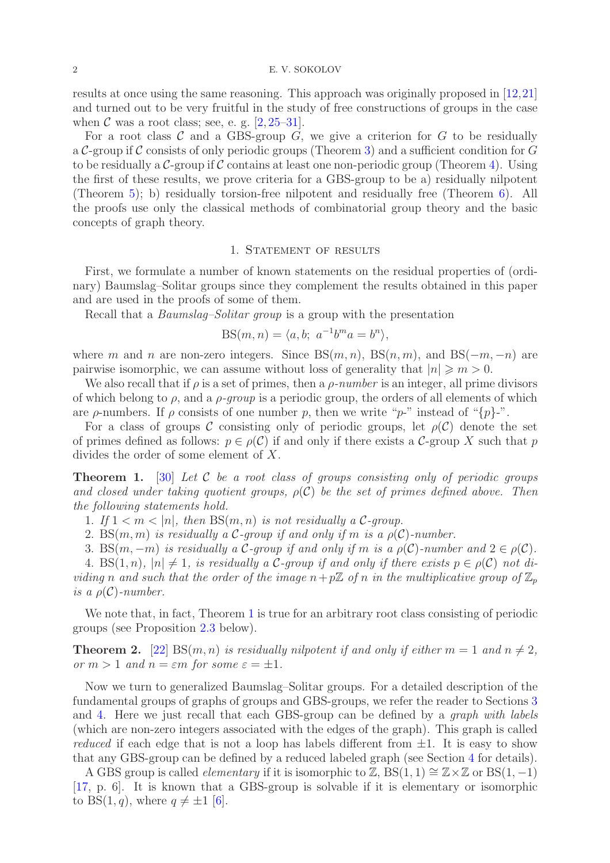#### 2 E. V. SOKOLOV

results at once using the same reasoning. This approach was originally proposed in [\[12,](#page-18-4)[21\]](#page-18-6) and turned out to be very fruitful in the study of free constructions of groups in the case when  $\mathcal C$  was a root class; see, e. g.  $[2, 25-31]$  $[2, 25-31]$  $[2, 25-31]$ .

For a root class  $\mathcal C$  and a GBS-group  $G$ , we give a criterion for  $G$  to be residually a C-group if C consists of only periodic groups (Theorem [3\)](#page-2-0) and a sufficient condition for  $G$ to be residually a  $\mathcal{C}$ -group if  $\mathcal C$  contains at least one non-periodic group (Theorem [4\)](#page-2-1). Using the first of these results, we prove criteria for a GBS-group to be a) residually nilpotent (Theorem [5\)](#page-2-2); b) residually torsion-free nilpotent and residually free (Theorem [6\)](#page-3-0). All the proofs use only the classical methods of combinatorial group theory and the basic concepts of graph theory.

#### 1. STATEMENT OF RESULTS

<span id="page-1-2"></span>First, we formulate a number of known statements on the residual properties of (ordinary) Baumslag–Solitar groups since they complement the results obtained in this paper and are used in the proofs of some of them.

Recall that a Baumslag–Solitar group is a group with the presentation

$$
BS(m, n) = \langle a, b; a^{-1}b^ma = b^n \rangle,
$$

where m and n are non-zero integers. Since  $BS(m, n)$ ,  $BS(n, m)$ , and  $BS(-m, -n)$  are pairwise isomorphic, we can assume without loss of generality that  $|n| \geq m > 0$ .

We also recall that if  $\rho$  is a set of primes, then a  $\rho$ -number is an integer, all prime divisors of which belong to  $\rho$ , and a  $\rho$ -group is a periodic group, the orders of all elements of which are  $\rho$ -numbers. If  $\rho$  consists of one number p, then we write "p-" instead of "{p}-".

For a class of groups C consisting only of periodic groups, let  $\rho(C)$  denote the set of primes defined as follows:  $p \in \rho(C)$  if and only if there exists a C-group X such that p divides the order of some element of X.

<span id="page-1-0"></span>**Theorem 1.** [\[30\]](#page-18-9) Let C be a root class of groups consisting only of periodic groups and closed under taking quotient groups,  $\rho(C)$  be the set of primes defined above. Then the following statements hold.

1. If  $1 < m < |n|$ , then  $BS(m, n)$  is not residually a C-group.

2. BS $(m, m)$  is residually a C-group if and only if m is a  $\rho(\mathcal{C})$ -number.

3. BS $(m, -m)$  is residually a C-group if and only if m is a  $\rho(\mathcal{C})$ -number and  $2 \in \rho(\mathcal{C})$ .

4. BS $(1, n)$ ,  $|n| \neq 1$ , is residually a C-group if and only if there exists  $p \in \rho(\mathcal{C})$  not dividing n and such that the order of the image  $n+p\mathbb{Z}$  of n in the multiplicative group of  $\mathbb{Z}_p$ is a  $\rho(\mathcal{C})$ -number.

We note that, in fact, Theorem [1](#page-1-0) is true for an arbitrary root class consisting of periodic groups (see Proposition [2.3](#page-3-1) below).

<span id="page-1-1"></span>**Theorem 2.** [\[22\]](#page-18-10) BS $(m, n)$  is residually nilpotent if and only if either  $m = 1$  and  $n \neq 2$ , or  $m > 1$  and  $n = \varepsilon m$  for some  $\varepsilon = \pm 1$ .

Now we turn to generalized Baumslag–Solitar groups. For a detailed description of the fundamental groups of graphs of groups and GBS-groups, we refer the reader to Sections [3](#page-4-0) and [4.](#page-6-0) Here we just recall that each GBS-group can be defined by a graph with labels (which are non-zero integers associated with the edges of the graph). This graph is called reduced if each edge that is not a loop has labels different from  $\pm 1$ . It is easy to show that any GBS-group can be defined by a reduced labeled graph (see Section [4](#page-6-0) for details).

A GBS group is called *elementary* if it is isomorphic to Z, BS $(1, 1) \cong \mathbb{Z} \times \mathbb{Z}$  or BS $(1, -1)$ [\[17,](#page-18-3) p. 6]. It is known that a GBS-group is solvable if it is elementary or isomorphic to BS $(1, q)$ , where  $q \neq \pm 1$  [\[6\]](#page-18-11).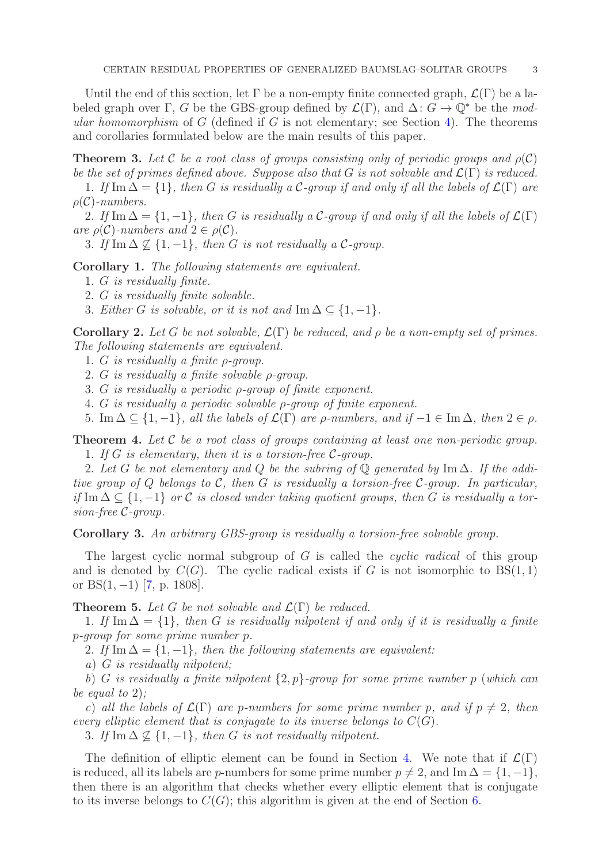Until the end of this section, let  $\Gamma$  be a non-empty finite connected graph,  $\mathcal{L}(\Gamma)$  be a labeled graph over Γ, G be the GBS-group defined by  $\mathcal{L}(\Gamma)$ , and  $\Delta: G \to \mathbb{Q}^*$  be the modular homomorphism of  $G$  (defined if  $G$  is not elementary; see Section [4\)](#page-6-0). The theorems and corollaries formulated below are the main results of this paper.

<span id="page-2-0"></span>**Theorem 3.** Let C be a root class of groups consisting only of periodic groups and  $\rho(C)$ be the set of primes defined above. Suppose also that G is not solvable and  $\mathcal{L}(\Gamma)$  is reduced.

1. If Im  $\Delta = \{1\}$ , then G is residually a C-group if and only if all the labels of  $\mathcal{L}(\Gamma)$  are  $\rho(\mathcal{C})$ -numbers.

2. If Im  $\Delta = \{1, -1\}$ , then G is residually a C-group if and only if all the labels of  $\mathcal{L}(\Gamma)$ are  $\rho(\mathcal{C})$ -numbers and  $2 \in \rho(\mathcal{C})$ .

3. If Im  $\Delta \nsubseteq \{1, -1\}$ , then G is not residually a C-group.

<span id="page-2-3"></span>Corollary 1. The following statements are equivalent.

- 1. G is residually finite.
- 2. G is residually finite solvable.
- 3. Either G is solvable, or it is not and Im  $\Delta \subseteq \{1, -1\}.$

<span id="page-2-4"></span>Corollary 2. Let G be not solvable,  $\mathcal{L}(\Gamma)$  be reduced, and  $\rho$  be a non-empty set of primes. The following statements are equivalent.

1. G is residually a finite ρ-group.

2. G is residually a finite solvable ρ-group.

3. G is residually a periodic ρ-group of finite exponent.

4. G is residually a periodic solvable ρ-group of finite exponent.

5. Im  $\Delta \subseteq \{1, -1\}$ , all the labels of  $\mathcal{L}(\Gamma)$  are  $\rho$ -numbers, and if  $-1 \in \text{Im }\Delta$ , then  $2 \in \rho$ .

<span id="page-2-1"></span>**Theorem 4.** Let  $C$  be a root class of groups containing at least one non-periodic group. 1. If  $G$  is elementary, then it is a torsion-free  $\mathcal{C}$ -group.

2. Let G be not elementary and Q be the subring of  $\mathbb Q$  generated by Im  $\Delta$ . If the additive group of Q belongs to C, then G is residually a torsion-free C-group. In particular, if Im  $\Delta \subseteq \{1, -1\}$  or C is closed under taking quotient groups, then G is residually a torsion-free C-group.

<span id="page-2-5"></span>Corollary 3. An arbitrary GBS-group is residually a torsion-free solvable group.

The largest cyclic normal subgroup of G is called the *cyclic radical* of this group and is denoted by  $C(G)$ . The cyclic radical exists if G is not isomorphic to  $BS(1, 1)$ or  $BS(1, -1)$  [\[7,](#page-18-12) p. 1808].

<span id="page-2-2"></span>**Theorem 5.** Let G be not solvable and  $\mathcal{L}(\Gamma)$  be reduced.

1. If Im  $\Delta = \{1\}$ , then G is residually nilpotent if and only if it is residually a finite p-group for some prime number p.

2. If Im  $\Delta = \{1, -1\}$ , then the following statements are equivalent:

a) G is residually nilpotent;

b) G is residually a finite nilpotent  $\{2, p\}$ -group for some prime number p (which can be equal to 2);

c) all the labels of  $\mathcal{L}(\Gamma)$  are p-numbers for some prime number p, and if  $p \neq 2$ , then every elliptic element that is conjugate to its inverse belongs to  $C(G)$ .

3. If Im  $\Delta \not\subset \{1, -1\}$ , then G is not residually nilpotent.

The definition of elliptic element can be found in Section [4.](#page-6-0) We note that if  $\mathcal{L}(\Gamma)$ is reduced, all its labels are p-numbers for some prime number  $p \neq 2$ , and Im  $\Delta = \{1, -1\}$ , then there is an algorithm that checks whether every elliptic element that is conjugate to its inverse belongs to  $C(G)$ ; this algorithm is given at the end of Section [6.](#page-11-0)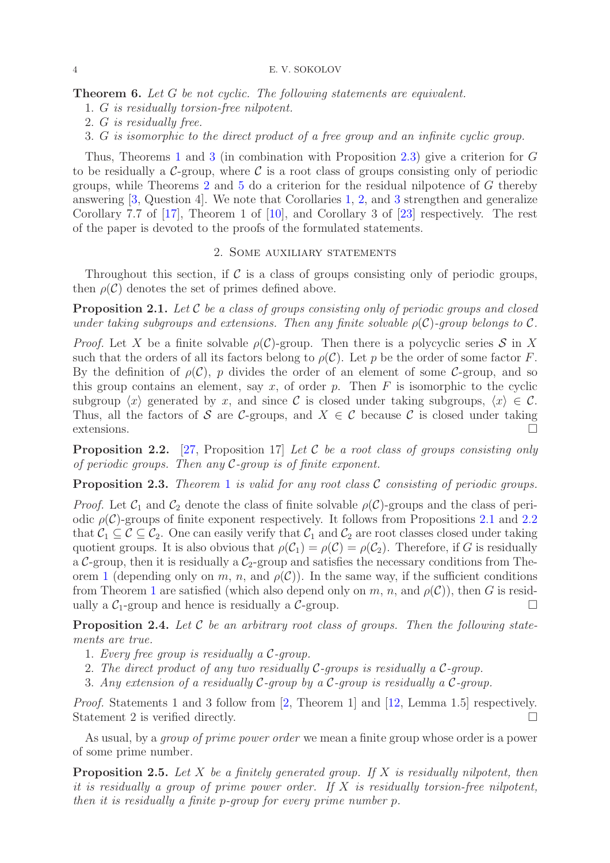<span id="page-3-0"></span>Theorem 6. Let G be not cyclic. The following statements are equivalent.

1. G is residually torsion-free nilpotent.

2. G is residually free.

3. G is isomorphic to the direct product of a free group and an infinite cyclic group.

Thus, Theorems [1](#page-1-0) and [3](#page-2-0) (in combination with Proposition [2.3\)](#page-3-1) give a criterion for G to be residually a  $C$ -group, where C is a root class of groups consisting only of periodic groups, while Theorems [2](#page-1-1) and [5](#page-2-2) do a criterion for the residual nilpotence of G thereby answering [\[3,](#page-18-13) Question 4]. We note that Corollaries [1,](#page-2-3) [2,](#page-2-4) and [3](#page-2-5) strengthen and generalize Corollary 7.7 of [\[17\]](#page-18-3), Theorem 1 of [\[10\]](#page-18-1), and Corollary 3 of [\[23\]](#page-18-14) respectively. The rest of the paper is devoted to the proofs of the formulated statements.

## 2. Some auxiliary statements

Throughout this section, if  $\mathcal C$  is a class of groups consisting only of periodic groups, then  $\rho(\mathcal{C})$  denotes the set of primes defined above.

<span id="page-3-2"></span>**Proposition 2.1.** Let  $C$  be a class of groups consisting only of periodic groups and closed under taking subgroups and extensions. Then any finite solvable  $\rho(\mathcal{C})$ -group belongs to  $\mathcal{C}$ .

*Proof.* Let X be a finite solvable  $\rho(\mathcal{C})$ -group. Then there is a polycyclic series S in X such that the orders of all its factors belong to  $\rho(\mathcal{C})$ . Let p be the order of some factor F. By the definition of  $\rho(\mathcal{C})$ , p divides the order of an element of some C-group, and so this group contains an element, say  $x$ , of order  $p$ . Then  $F$  is isomorphic to the cyclic subgroup  $\langle x \rangle$  generated by x, and since C is closed under taking subgroups,  $\langle x \rangle \in \mathcal{C}$ . Thus, all the factors of S are C-groups, and  $X \in \mathcal{C}$  because C is closed under taking extensions.  $\Box$ 

<span id="page-3-3"></span>**Proposition 2.2.** [\[27,](#page-18-15) Proposition 17] Let C be a root class of groups consisting only of periodic groups. Then any  $C$ -group is of finite exponent.

<span id="page-3-1"></span>**Proposition 2.3.** Theorem [1](#page-1-0) is valid for any root class  $\mathcal C$  consisting of periodic groups.

*Proof.* Let  $C_1$  and  $C_2$  denote the class of finite solvable  $\rho(C)$ -groups and the class of periodic  $\rho(\mathcal{C})$ -groups of finite exponent respectively. It follows from Propositions [2.1](#page-3-2) and [2.2](#page-3-3) that  $C_1 \subseteq C \subseteq C_2$ . One can easily verify that  $C_1$  and  $C_2$  are root classes closed under taking quotient groups. It is also obvious that  $\rho(C_1) = \rho(C) = \rho(C_2)$ . Therefore, if G is residually a C-group, then it is residually a  $C_2$ -group and satisfies the necessary conditions from The-orem [1](#page-1-0) (depending only on m, n, and  $\rho(\mathcal{C})$ ). In the same way, if the sufficient conditions from Theorem [1](#page-1-0) are satisfied (which also depend only on m, n, and  $\rho(\mathcal{C})$ ), then G is residually a  $C_1$ -group and hence is residually a  $C$ -group.

<span id="page-3-4"></span>**Proposition 2.4.** Let  $C$  be an arbitrary root class of groups. Then the following statements are true.

- 1. Every free group is residually a C-group.
- 2. The direct product of any two residually  $C$ -groups is residually a  $C$ -group.
- 3. Any extension of a residually C-group by a C-group is residually a C-group.

Proof. Statements 1 and 3 follow from [\[2,](#page-18-7) Theorem 1] and [\[12,](#page-18-4) Lemma 1.5] respectively. Statement 2 is verified directly.

As usual, by a group of prime power order we mean a finite group whose order is a power of some prime number.

<span id="page-3-5"></span>**Proposition 2.5.** Let X be a finitely generated group. If X is residually nilpotent, then it is residually a group of prime power order. If  $X$  is residually torsion-free nilpotent, then it is residually a finite p-group for every prime number p.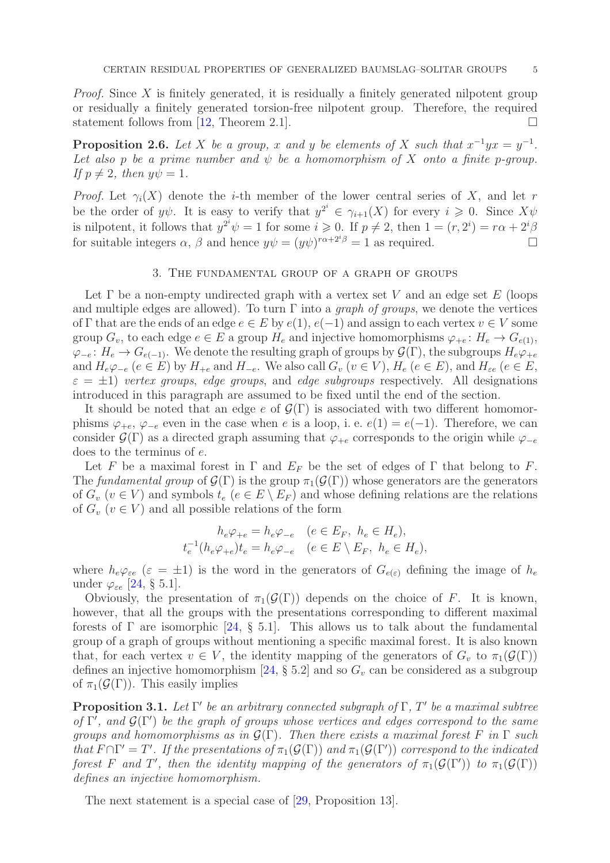*Proof.* Since  $X$  is finitely generated, it is residually a finitely generated nilpotent group or residually a finitely generated torsion-free nilpotent group. Therefore, the required statement follows from [\[12,](#page-18-4) Theorem 2.1].

<span id="page-4-2"></span>**Proposition 2.6.** Let X be a group, x and y be elements of X such that  $x^{-1}yx = y^{-1}$ . Let also p be a prime number and  $\psi$  be a homomorphism of X onto a finite p-group. If  $p \neq 2$ , then  $y\psi = 1$ .

*Proof.* Let  $\gamma_i(X)$  denote the *i*-th member of the lower central series of X, and let r be the order of  $y\psi$ . It is easy to verify that  $y^{2^i} \in \gamma_{i+1}(X)$  for every  $i \geq 0$ . Since  $X\psi$ is nilpotent, it follows that  $y^{2^i}\psi = 1$  for some  $i \geqslant 0$ . If  $p \neq 2$ , then  $1 = (r, 2^i) = r\alpha + 2^i\beta$ for suitable integers  $\alpha$ ,  $\beta$  and hence  $y\psi = (y\psi)^{r\alpha + 2^{i}\beta} = 1$  as required.

## 3. The fundamental group of a graph of groups

<span id="page-4-0"></span>Let  $\Gamma$  be a non-empty undirected graph with a vertex set V and an edge set E (loops and multiple edges are allowed). To turn  $\Gamma$  into a *graph of groups*, we denote the vertices of Γ that are the ends of an edge  $e \in E$  by  $e(1), e(-1)$  and assign to each vertex  $v \in V$  some group  $G_v$ , to each edge  $e \in E$  a group  $H_e$  and injective homomorphisms  $\varphi_{+e} : H_e \to G_{e(1)}$ ,  $\varphi_{-e}: H_e \to G_{e(-1)}$ . We denote the resulting graph of groups by  $\mathcal{G}(\Gamma)$ , the subgroups  $H_e\varphi_{+e}$ and  $H_e\varphi_{-e}$   $(e \in E)$  by  $H_{+e}$  and  $H_{-e}$ . We also call  $G_v$   $(v \in V)$ ,  $H_e$   $(e \in E)$ , and  $H_{\varepsilon e}$   $(e \in E)$ ,  $\varepsilon = \pm 1$ ) vertex groups, edge groups, and edge subgroups respectively. All designations introduced in this paragraph are assumed to be fixed until the end of the section.

It should be noted that an edge e of  $\mathcal{G}(\Gamma)$  is associated with two different homomorphisms  $\varphi_{+e}, \varphi_{-e}$  even in the case when e is a loop, i. e.  $e(1) = e(-1)$ . Therefore, we can consider  $\mathcal{G}(\Gamma)$  as a directed graph assuming that  $\varphi_{+e}$  corresponds to the origin while  $\varphi_{-e}$ does to the terminus of e.

Let F be a maximal forest in  $\Gamma$  and  $E_F$  be the set of edges of  $\Gamma$  that belong to F. The fundamental group of  $\mathcal{G}(\Gamma)$  is the group  $\pi_1(\mathcal{G}(\Gamma))$  whose generators are the generators of  $G_v$  ( $v \in V$ ) and symbols  $t_e$  ( $e \in E \setminus E_F$ ) and whose defining relations are the relations of  $G_v$  ( $v \in V$ ) and all possible relations of the form

$$
h_e \varphi_{+e} = h_e \varphi_{-e} \quad (e \in E_F, \ h_e \in H_e),
$$
  

$$
t_e^{-1}(h_e \varphi_{+e}) t_e = h_e \varphi_{-e} \quad (e \in E \setminus E_F, \ h_e \in H_e),
$$

where  $h_e\varphi_{\varepsilon e}$  ( $\varepsilon = \pm 1$ ) is the word in the generators of  $G_{e(\varepsilon)}$  defining the image of  $h_e$ under  $\varphi_{\varepsilon e}$  [\[24,](#page-18-16) § 5.1].

Obviously, the presentation of  $\pi_1(\mathcal{G}(\Gamma))$  depends on the choice of F. It is known, however, that all the groups with the presentations corresponding to different maximal forests of  $\Gamma$  are isomorphic [\[24,](#page-18-16) § 5.1]. This allows us to talk about the fundamental group of a graph of groups without mentioning a specific maximal forest. It is also known that, for each vertex  $v \in V$ , the identity mapping of the generators of  $G_v$  to  $\pi_1(\mathcal{G}(\Gamma))$ defines an injective homomorphism [\[24,](#page-18-16)  $\S$  5.2] and so  $G_v$  can be considered as a subgroup of  $\pi_1(\mathcal{G}(\Gamma))$ . This easily implies

<span id="page-4-1"></span>**Proposition 3.1.** Let  $\Gamma'$  be an arbitrary connected subgraph of  $\Gamma$ ,  $T'$  be a maximal subtree of  $\Gamma'$ , and  $\mathcal{G}(\Gamma')$  be the graph of groups whose vertices and edges correspond to the same groups and homomorphisms as in  $\mathcal{G}(\Gamma)$ . Then there exists a maximal forest F in  $\Gamma$  such that  $F \cap \Gamma' = T'$ . If the presentations of  $\pi_1(\mathcal{G}(\Gamma))$  and  $\pi_1(\mathcal{G}(\Gamma'))$  correspond to the indicated forest F and T', then the identity mapping of the generators of  $\pi_1(\mathcal{G}(\Gamma'))$  to  $\pi_1(\mathcal{G}(\Gamma))$ defines an injective homomorphism.

The next statement is a special case of [\[29,](#page-18-17) Proposition 13].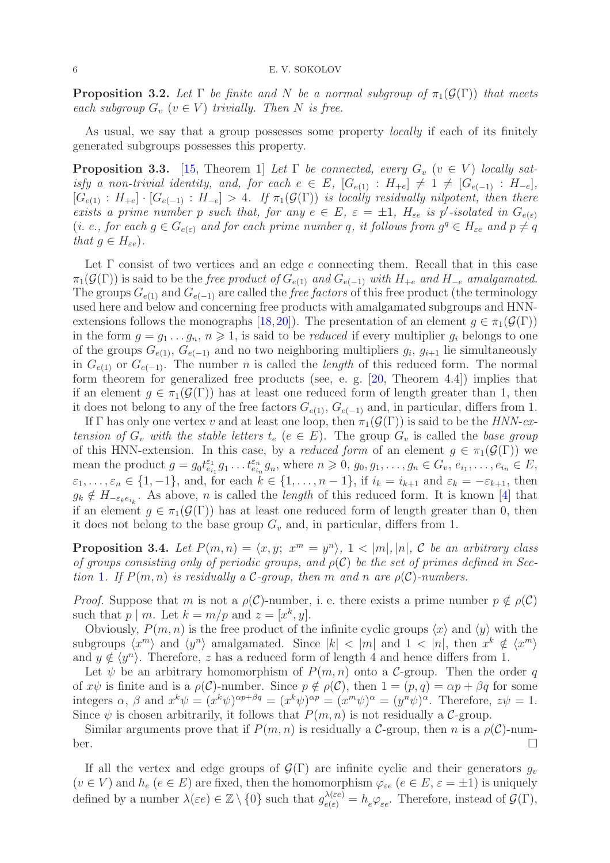<span id="page-5-0"></span>**Proposition 3.2.** Let  $\Gamma$  be finite and N be a normal subgroup of  $\pi_1(\mathcal{G}(\Gamma))$  that meets each subgroup  $G_v$   $(v \in V)$  trivially. Then N is free.

As usual, we say that a group possesses some property *locally* if each of its finitely generated subgroups possesses this property.

<span id="page-5-2"></span>**Proposition 3.3.** [\[15,](#page-18-18) Theorem 1] Let  $\Gamma$  be connected, every  $G_v$  ( $v \in V$ ) locally satisfy a non-trivial identity, and, for each  $e \in E$ ,  $[G_{e(1)} : H_{+e}] \neq 1 \neq [G_{e(-1)} : H_{-e}]$ ,  $[G_{e(1)}: H_{+e}] \cdot [G_{e(-1)}: H_{-e}] > 4$ . If  $\pi_1(\mathcal{G}(\Gamma))$  is locally residually nilpotent, then there exists a prime number p such that, for any  $e \in E$ ,  $\varepsilon = \pm 1$ ,  $H_{\varepsilon e}$  is p'-isolated in  $G_{e(\varepsilon)}$ (*i. e., for each*  $g \in G_{e(\varepsilon)}$  and for each prime number q, it follows from  $g^q \in H_{\varepsilon}$  and  $p \neq q$ that  $q \in H_{\varepsilon e}$ ).

Let  $\Gamma$  consist of two vertices and an edge e connecting them. Recall that in this case  $\pi_1(\mathcal{G}(\Gamma))$  is said to be the free product of  $G_{e(1)}$  and  $G_{e(-1)}$  with  $H_{+e}$  and  $H_{-e}$  amalgamated. The groups  $G_{e(1)}$  and  $G_{e(-1)}$  are called the *free factors* of this free product (the terminology used here and below and concerning free products with amalgamated subgroups and HNN-extensions follows the monographs [\[18,](#page-18-19)[20\]](#page-18-20)). The presentation of an element  $g \in \pi_1(\mathcal{G}(\Gamma))$ in the form  $g = g_1 \dots g_n$ ,  $n \geq 1$ , is said to be *reduced* if every multiplier  $g_i$  belongs to one of the groups  $G_{e(1)}$ ,  $G_{e(-1)}$  and no two neighboring multipliers  $g_i$ ,  $g_{i+1}$  lie simultaneously in  $G_{e(1)}$  or  $G_{e(-1)}$ . The number *n* is called the *length* of this reduced form. The normal form theorem for generalized free products (see, e. g. [\[20,](#page-18-20) Theorem 4.4]) implies that if an element  $g \in \pi_1(\mathcal{G}(\Gamma))$  has at least one reduced form of length greater than 1, then it does not belong to any of the free factors  $G_{e(1)}$ ,  $G_{e(-1)}$  and, in particular, differs from 1.

If Γ has only one vertex v and at least one loop, then  $\pi_1(\mathcal{G}(\Gamma))$  is said to be the HNN-extension of  $G_v$  with the stable letters  $t_e$  ( $e \in E$ ). The group  $G_v$  is called the base group of this HNN-extension. In this case, by a *reduced form* of an element  $g \in \pi_1(\mathcal{G}(\Gamma))$  we mean the product  $g = g_0 t_{e_{i_1}}^{e_1} g_1 \dots t_{e_{i_n}}^{e_n} g_n$ , where  $n \geq 0$ ,  $g_0, g_1, \dots, g_n \in G_v$ ,  $e_{i_1}, \dots, e_{i_n} \in E$ ,  $\varepsilon_1, \ldots, \varepsilon_n \in \{1, -1\}$ , and, for each  $k \in \{1, \ldots, n-1\}$ , if  $i_k = i_{k+1}$  and  $\varepsilon_k = -\varepsilon_{k+1}$ , then  $g_k \notin H_{-\varepsilon_k e_{i_k}}$ . As above, *n* is called the *length* of this reduced form. It is known [\[4\]](#page-18-21) that if an element  $q \in \pi_1(\mathcal{G}(\Gamma))$  has at least one reduced form of length greater than 0, then it does not belong to the base group  $G_v$  and, in particular, differs from 1.

<span id="page-5-1"></span>**Proposition 3.4.** Let  $P(m,n) = \langle x, y; x^m = y^n \rangle$ ,  $1 < |m|, |n|, C$  be an arbitrary class of groups consisting only of periodic groups, and  $\rho(\mathcal{C})$  be the set of primes defined in Sec-tion [1](#page-1-2). If  $P(m, n)$  is residually a C-group, then m and n are  $\rho(C)$ -numbers.

*Proof.* Suppose that m is not a  $\rho(\mathcal{C})$ -number, i. e. there exists a prime number  $p \notin \rho(\mathcal{C})$ such that  $p \mid m$ . Let  $k = m/p$  and  $z = [x^k, y]$ .

Obviously,  $P(m, n)$  is the free product of the infinite cyclic groups  $\langle x \rangle$  and  $\langle y \rangle$  with the subgroups  $\langle x^m \rangle$  and  $\langle y^n \rangle$  amalgamated. Since  $|k| < |m|$  and  $1 < |n|$ , then  $x^k \notin \langle x^m \rangle$ and  $y \notin \langle y^n \rangle$ . Therefore, z has a reduced form of length 4 and hence differs from 1.

Let  $\psi$  be an arbitrary homomorphism of  $P(m, n)$  onto a C-group. Then the order q of  $x\psi$  is finite and is a  $\rho(\mathcal{C})$ -number. Since  $p \notin \rho(\mathcal{C})$ , then  $1 = (p, q) = \alpha p + \beta q$  for some integers  $\alpha$ ,  $\beta$  and  $x^k \psi = (x^k \psi)^{\alpha p + \beta q} = (x^k \psi)^{\alpha p} = (x^m \psi)^{\alpha} = (y^n \psi)^{\alpha}$ . Therefore,  $z\psi = 1$ . Since  $\psi$  is chosen arbitrarily, it follows that  $P(m, n)$  is not residually a C-group.

Similar arguments prove that if  $P(m, n)$  is residually a C-group, then n is a  $\rho(\mathcal{C})$ -number.  $\Box$ 

If all the vertex and edge groups of  $\mathcal{G}(\Gamma)$  are infinite cyclic and their generators  $q_v$  $(v \in V)$  and  $h_e$   $(e \in E)$  are fixed, then the homomorphism  $\varphi_{\varepsilon e}$   $(e \in E, \varepsilon = \pm 1)$  is uniquely defined by a number  $\lambda(\varepsilon e) \in \mathbb{Z} \setminus \{0\}$  such that  $g_{e(\varepsilon)}^{\lambda(\varepsilon e)} = h_e \varphi_{\varepsilon e}$ . Therefore, instead of  $\mathcal{G}(\Gamma)$ ,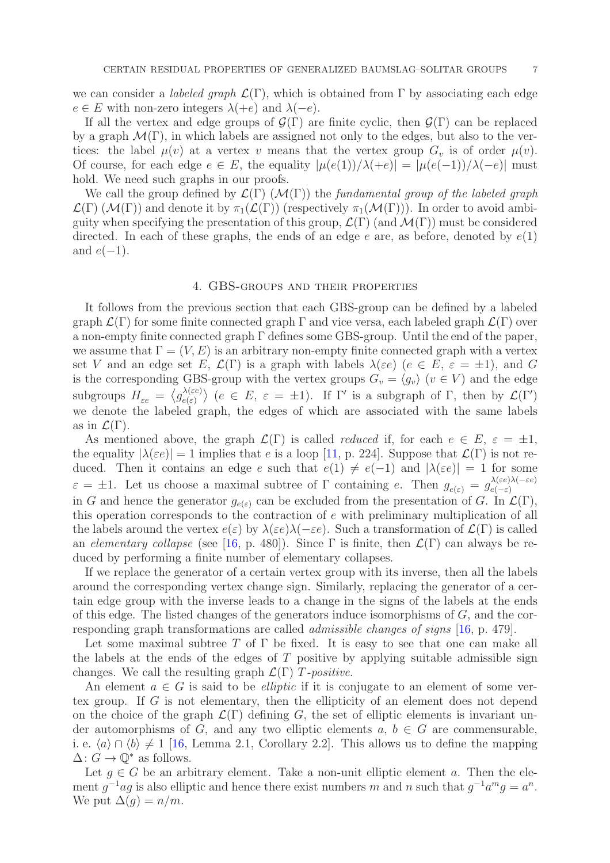we can consider a *labeled graph*  $\mathcal{L}(\Gamma)$ , which is obtained from  $\Gamma$  by associating each edge  $e \in E$  with non-zero integers  $\lambda(+e)$  and  $\lambda(-e)$ .

If all the vertex and edge groups of  $\mathcal{G}(\Gamma)$  are finite cyclic, then  $\mathcal{G}(\Gamma)$  can be replaced by a graph  $\mathcal{M}(\Gamma)$ , in which labels are assigned not only to the edges, but also to the vertices: the label  $\mu(v)$  at a vertex v means that the vertex group  $G_v$  is of order  $\mu(v)$ . Of course, for each edge  $e \in E$ , the equality  $|\mu(e(1))/\lambda(+e)| = |\mu(e(-1))/\lambda(-e)|$  must hold. We need such graphs in our proofs.

We call the group defined by  $\mathcal{L}(\Gamma)$  ( $\mathcal{M}(\Gamma)$ ) the fundamental group of the labeled graph  $\mathcal{L}(\Gamma)$  ( $\mathcal{M}(\Gamma)$ ) and denote it by  $\pi_1(\mathcal{L}(\Gamma))$  (respectively  $\pi_1(\mathcal{M}(\Gamma))$ ). In order to avoid ambiguity when specifying the presentation of this group,  $\mathcal{L}(\Gamma)$  (and  $\mathcal{M}(\Gamma)$ ) must be considered directed. In each of these graphs, the ends of an edge e are, as before, denoted by  $e(1)$ and  $e(-1)$ .

## 4. GBS-groups and their properties

<span id="page-6-0"></span>It follows from the previous section that each GBS-group can be defined by a labeled graph  $\mathcal{L}(\Gamma)$  for some finite connected graph  $\Gamma$  and vice versa, each labeled graph  $\mathcal{L}(\Gamma)$  over a non-empty finite connected graph Γ defines some GBS-group. Until the end of the paper, we assume that  $\Gamma = (V, E)$  is an arbitrary non-empty finite connected graph with a vertex set V and an edge set E,  $\mathcal{L}(\Gamma)$  is a graph with labels  $\lambda(\varepsilon e)$  ( $e \in E$ ,  $\varepsilon = \pm 1$ ), and G is the corresponding GBS-group with the vertex groups  $G_v = \langle g_v \rangle$  ( $v \in V$ ) and the edge subgroups  $H_{\varepsilon e} = \langle g_{e(\varepsilon)}^{\lambda(\varepsilon e)}$  $e^{\lambda(\varepsilon e)}$  (e  $\in E$ ,  $\varepsilon = \pm 1$ ). If  $\Gamma'$  is a subgraph of  $\Gamma$ , then by  $\mathcal{L}(\Gamma')$ we denote the labeled graph, the edges of which are associated with the same labels as in  $\mathcal{L}(\Gamma)$ .

As mentioned above, the graph  $\mathcal{L}(\Gamma)$  is called *reduced* if, for each  $e \in E$ ,  $\varepsilon = \pm 1$ , the equality  $|\lambda(\varepsilon e)| = 1$  implies that e is a loop [\[11,](#page-18-22) p. 224]. Suppose that  $\mathcal{L}(\Gamma)$  is not reduced. Then it contains an edge e such that  $e(1) \neq e(-1)$  and  $|\lambda(\varepsilon e)| = 1$  for some  $\varepsilon = \pm 1$ . Let us choose a maximal subtree of  $\Gamma$  containing e. Then  $g_{e(\varepsilon)} = g_{e(-\varepsilon)}^{\lambda(\varepsilon e)\lambda(-\varepsilon e)}$  $e(-\varepsilon)$ in G and hence the generator  $g_{e(\varepsilon)}$  can be excluded from the presentation of G. In  $\mathcal{L}(\Gamma)$ , this operation corresponds to the contraction of e with preliminary multiplication of all the labels around the vertex  $e(\varepsilon)$  by  $\lambda(\varepsilon e)\lambda(-\varepsilon e)$ . Such a transformation of  $\mathcal{L}(\Gamma)$  is called an elementary collapse (see [\[16,](#page-18-2) p. 480]). Since  $\Gamma$  is finite, then  $\mathcal{L}(\Gamma)$  can always be reduced by performing a finite number of elementary collapses.

If we replace the generator of a certain vertex group with its inverse, then all the labels around the corresponding vertex change sign. Similarly, replacing the generator of a certain edge group with the inverse leads to a change in the signs of the labels at the ends of this edge. The listed changes of the generators induce isomorphisms of  $G$ , and the corresponding graph transformations are called admissible changes of signs [\[16,](#page-18-2) p. 479].

Let some maximal subtree T of  $\Gamma$  be fixed. It is easy to see that one can make all the labels at the ends of the edges of  $T$  positive by applying suitable admissible sign changes. We call the resulting graph  $\mathcal{L}(\Gamma)$  T-positive.

An element  $a \in G$  is said to be *elliptic* if it is conjugate to an element of some vertex group. If G is not elementary, then the ellipticity of an element does not depend on the choice of the graph  $\mathcal{L}(\Gamma)$  defining G, the set of elliptic elements is invariant under automorphisms of G, and any two elliptic elements  $a, b \in G$  are commensurable, i. e.  $\langle a \rangle \cap \langle b \rangle \neq 1$  [\[16,](#page-18-2) Lemma 2.1, Corollary 2.2]. This allows us to define the mapping  $\Delta: G \to \mathbb{Q}^*$  as follows.

Let  $q \in G$  be an arbitrary element. Take a non-unit elliptic element a. Then the element  $g^{-1}ag$  is also elliptic and hence there exist numbers m and n such that  $g^{-1}a^mg = a^n$ . We put  $\Delta(q) = n/m$ .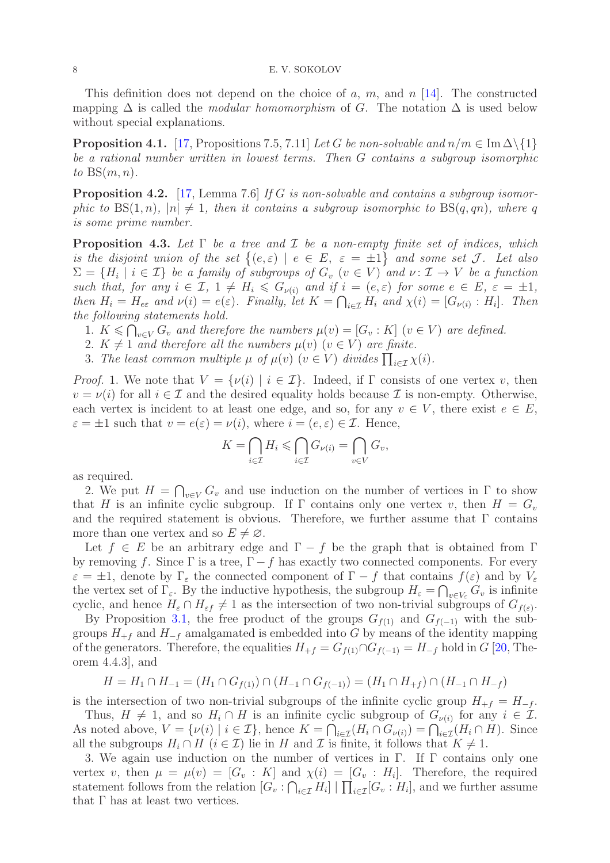#### 8 E. V. SOKOLOV

This definition does not depend on the choice of a, m, and n  $[14]$ . The constructed mapping  $\Delta$  is called the *modular homomorphism* of G. The notation  $\Delta$  is used below without special explanations.

<span id="page-7-1"></span>**Proposition 4.1.** [\[17,](#page-18-3) Propositions 7.5, 7.11] Let G be non-solvable and  $n/m \in \text{Im } \Delta \setminus \{1\}$ be a rational number written in lowest terms. Then G contains a subgroup isomorphic to  $BS(m, n)$ .

<span id="page-7-2"></span>**Proposition 4.2.** [\[17,](#page-18-3) Lemma 7.6] If G is non-solvable and contains a subgroup isomorphic to  $BS(1, n)$ ,  $|n| \neq 1$ , then it contains a subgroup isomorphic to  $BS(q, qn)$ , where q is some prime number.

<span id="page-7-0"></span>**Proposition 4.3.** Let  $\Gamma$  be a tree and  $\mathcal I$  be a non-empty finite set of indices, which is the disjoint union of the set  $\{(e,\varepsilon) \mid e \in E, \varepsilon = \pm 1\}$  and some set J. Let also  $\Sigma = \{H_i \mid i \in \mathcal{I}\}$  be a family of subgroups of  $G_v$   $(v \in V)$  and  $v \colon \mathcal{I} \to V$  be a function such that, for any  $i \in \mathcal{I}$ ,  $1 \neq H_i \leq G_{\nu(i)}$  and if  $i = (e, \varepsilon)$  for some  $e \in E$ ,  $\varepsilon = \pm 1$ , then  $H_i = H_{e\epsilon}$  and  $\nu(i) = e(\epsilon)$ . Finally, let  $K = \bigcap_{i \in \mathcal{I}} H_i$  and  $\chi(i) = [G_{\nu(i)} : H_i]$ . Then the following statements hold.

1.  $K \leqslant \bigcap_{v \in V} G_v$  and therefore the numbers  $\mu(v) = [G_v : K]$   $(v \in V)$  are defined.

- 2.  $K \neq 1$  and therefore all the numbers  $\mu(v)$   $(v \in V)$  are finite.
- 3. The least common multiple  $\mu$  of  $\mu(v)$   $(v \in V)$  divides  $\prod_{i \in \mathcal{I}} \chi(i)$ .

*Proof.* 1. We note that  $V = \{v(i) | i \in \mathcal{I}\}\$ . Indeed, if  $\Gamma$  consists of one vertex v, then  $v = \nu(i)$  for all  $i \in \mathcal{I}$  and the desired equality holds because  $\mathcal{I}$  is non-empty. Otherwise, each vertex is incident to at least one edge, and so, for any  $v \in V$ , there exist  $e \in E$ ,  $\varepsilon = \pm 1$  such that  $v = e(\varepsilon) = v(i)$ , where  $i = (e, \varepsilon) \in \mathcal{I}$ . Hence,

$$
K = \bigcap_{i \in \mathcal{I}} H_i \leqslant \bigcap_{i \in \mathcal{I}} G_{\nu(i)} = \bigcap_{v \in V} G_v,
$$

as required.

2. We put  $H = \bigcap_{v \in V} G_v$  and use induction on the number of vertices in  $\Gamma$  to show that H is an infinite cyclic subgroup. If  $\Gamma$  contains only one vertex v, then  $H = G_v$ and the required statement is obvious. Therefore, we further assume that  $\Gamma$  contains more than one vertex and so  $E \neq \emptyset$ .

Let  $f \in E$  be an arbitrary edge and  $\Gamma - f$  be the graph that is obtained from  $\Gamma$ by removing f. Since  $\Gamma$  is a tree,  $\Gamma - f$  has exactly two connected components. For every  $\varepsilon = \pm 1$ , denote by  $\Gamma_{\varepsilon}$  the connected component of  $\Gamma - f$  that contains  $f(\varepsilon)$  and by  $V_{\varepsilon}$ the vertex set of  $\Gamma_{\varepsilon}$ . By the inductive hypothesis, the subgroup  $H_{\varepsilon} = \bigcap_{v \in V_{\varepsilon}} G_v$  is infinite cyclic, and hence  $H_{\varepsilon} \cap H_{\varepsilon} \neq 1$  as the intersection of two non-trivial subgroups of  $G_{f(\varepsilon)}$ .

By Proposition [3.1,](#page-4-1) the free product of the groups  $G_{f(1)}$  and  $G_{f(-1)}$  with the subgroups  $H_{+f}$  and  $H_{-f}$  amalgamated is embedded into G by means of the identity mapping of the generators. Therefore, the equalities  $H_{+f} = G_{f(1)} \cap G_{f(-1)} = H_{-f}$  hold in  $G$  [\[20,](#page-18-20) Theorem 4.4.3], and

$$
H = H_1 \cap H_{-1} = (H_1 \cap G_{f(1)}) \cap (H_{-1} \cap G_{f(-1)}) = (H_1 \cap H_{+f}) \cap (H_{-1} \cap H_{-f})
$$

is the intersection of two non-trivial subgroups of the infinite cyclic group  $H_{+f} = H_{-f}$ .

Thus,  $H \neq 1$ , and so  $H_i \cap H$  is an infinite cyclic subgroup of  $G_{\nu(i)}$  for any  $i \in \mathcal{I}$ . As noted above,  $V = \{v(i) \mid i \in \mathcal{I}\}\$ , hence  $K = \bigcap_{i \in \mathcal{I}} (H_i \cap G_{\nu(i)}) = \bigcap_{i \in \mathcal{I}} (H_i \cap H)$ . Since all the subgroups  $H_i \cap H$   $(i \in \mathcal{I})$  lie in H and  $\mathcal{I}$  is finite, it follows that  $K \neq 1$ .

3. We again use induction on the number of vertices in Γ. If Γ contains only one vertex v, then  $\mu = \mu(v) = [G_v : K]$  and  $\chi(i) = [G_v : H_i]$ . Therefore, the required statement follows from the relation  $[G_v : \bigcap_{i \in \mathcal{I}} H_i] \mid \prod_{i \in \mathcal{I}} [G_v : H_i]$ , and we further assume that Γ has at least two vertices.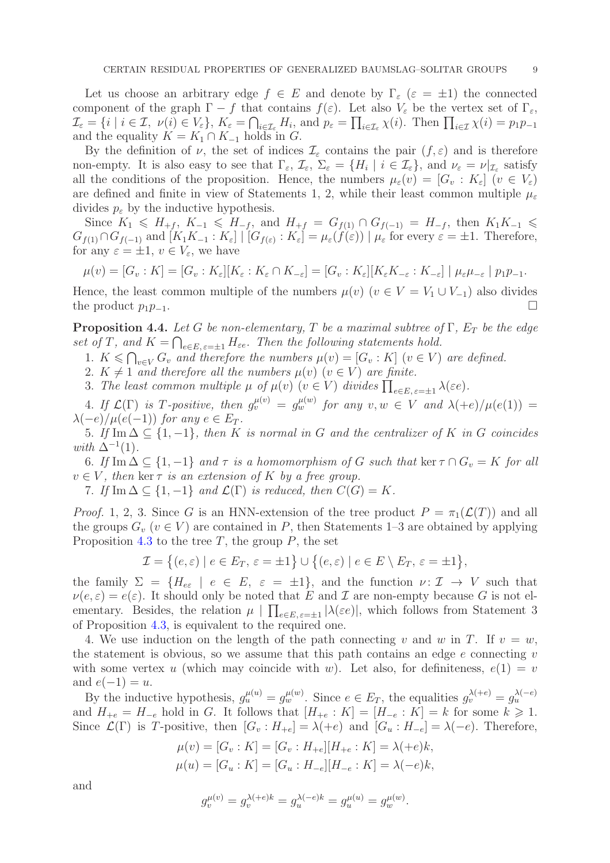Let us choose an arbitrary edge  $f \in E$  and denote by  $\Gamma_{\varepsilon}$  ( $\varepsilon = \pm 1$ ) the connected component of the graph  $\Gamma - f$  that contains  $f(\varepsilon)$ . Let also  $V_{\varepsilon}$  be the vertex set of  $\Gamma_{\varepsilon}$ ,  $\mathcal{I}_{\varepsilon} = \{i \mid i \in \mathcal{I}, \ \nu(i) \in V_{\varepsilon}\}, \ K_{\varepsilon} = \bigcap_{i \in \mathcal{I}_{\varepsilon}} H_i, \text{ and } p_{\varepsilon} = \prod_{i \in \mathcal{I}_{\varepsilon}} \chi(i). \text{ Then } \prod_{i \in \mathcal{I}} \chi(i) = p_1 p_{-1}$ and the equality  $K = K_1 \cap K_{-1}$  holds in G.

By the definition of  $\nu$ , the set of indices  $\mathcal{I}_{\varepsilon}$  contains the pair  $(f, \varepsilon)$  and is therefore non-empty. It is also easy to see that  $\Gamma_{\varepsilon}$ ,  $\mathcal{I}_{\varepsilon}$ ,  $\Sigma_{\varepsilon} = \{H_i \mid i \in \mathcal{I}_{\varepsilon}\}$ , and  $\nu_{\varepsilon} = \nu|_{\mathcal{I}_{\varepsilon}}$  satisfy all the conditions of the proposition. Hence, the numbers  $\mu_{\varepsilon}(v) = [G_v : K_{\varepsilon}]$   $(v \in V_{\varepsilon})$ are defined and finite in view of Statements 1, 2, while their least common multiple  $\mu_{\varepsilon}$ divides  $p_{\varepsilon}$  by the inductive hypothesis.

Since  $K_1 \leq H_{+f}$ ,  $K_{-1} \leq H_{-f}$ , and  $H_{+f} = G_{f(1)} \cap G_{f(-1)} = H_{-f}$ , then  $K_1 K_{-1} \leq$  $G_{f(1)} \cap G_{f(-1)}$  and  $[K_1K_{-1} : K_{\varepsilon}] \mid [G_{f(\varepsilon)} : K_{\varepsilon}] = \mu_{\varepsilon}(f(\varepsilon)) \mid \mu_{\varepsilon}$  for every  $\varepsilon = \pm 1$ . Therefore, for any  $\varepsilon = \pm 1, v \in V_{\varepsilon}$ , we have

$$
\mu(v) = [G_v : K] = [G_v : K_{\varepsilon}][K_{\varepsilon} : K_{\varepsilon} \cap K_{-\varepsilon}] = [G_v : K_{\varepsilon}][K_{\varepsilon}K_{-\varepsilon} : K_{-\varepsilon}] \mid \mu_{\varepsilon}\mu_{-\varepsilon} \mid p_1p_{-1}.
$$

Hence, the least common multiple of the numbers  $\mu(v)$  ( $v \in V = V_1 \cup V_{-1}$ ) also divides the product  $p_1p_{-1}$ .  $□$ 

<span id="page-8-0"></span>**Proposition 4.4.** Let G be non-elementary, T be a maximal subtree of  $\Gamma$ ,  $E_T$  be the edge set of T, and  $K = \bigcap_{e \in E, e = \pm 1} H_{\varepsilon e}$ . Then the following statements hold.

- 1.  $K \leq \bigcap_{v \in V} G_v$  and therefore the numbers  $\mu(v) = [G_v : K]$   $(v \in V)$  are defined.
- 2.  $K \neq 1$  and therefore all the numbers  $\mu(v)$   $(v \in V)$  are finite.
- 3. The least common multiple  $\mu$  of  $\mu(v)$   $(v \in V)$  divides  $\prod_{e \in E, e=\pm 1} \lambda(\varepsilon e)$ .

4. If  $\mathcal{L}(\Gamma)$  is T-positive, then  $g_v^{\mu(v)} = g_w^{\mu(w)}$  for any  $v, w \in V$  and  $\lambda(+e)/\mu(e(1)) =$  $\lambda(-e)/\mu(e(-1))$  for any  $e \in E_T$ .

5. If Im  $\Delta \subseteq \{1, -1\}$ , then K is normal in G and the centralizer of K in G coincides with  $\Delta^{-1}(1)$ .

6. If Im  $\Delta \subseteq \{1, -1\}$  and  $\tau$  is a homomorphism of G such that ker  $\tau \cap G_v = K$  for all  $v \in V$ , then ker  $\tau$  is an extension of K by a free group.

7. If Im  $\Delta \subseteq \{1, -1\}$  and  $\mathcal{L}(\Gamma)$  is reduced, then  $C(G) = K$ .

*Proof.* 1, 2, 3. Since G is an HNN-extension of the tree product  $P = \pi_1(\mathcal{L}(T))$  and all the groups  $G_v$  ( $v \in V$ ) are contained in P, then Statements 1–3 are obtained by applying Proposition [4.3](#page-7-0) to the tree  $T$ , the group  $P$ , the set

$$
\mathcal{I} = \big\{ (e,\varepsilon) \mid e \in E_T, \, \varepsilon = \pm 1 \big\} \cup \big\{ (e,\varepsilon) \mid e \in E \setminus E_T, \, \varepsilon = \pm 1 \big\},\
$$

the family  $\Sigma = \{H_{e\epsilon} \mid e \in E, \epsilon = \pm 1\}$ , and the function  $\nu: \mathcal{I} \to V$  such that  $\nu(e,\varepsilon) = e(\varepsilon)$ . It should only be noted that E and I are non-empty because G is not elementary. Besides, the relation  $\mu \mid \prod_{e \in E, \varepsilon = \pm 1} |\lambda(\varepsilon e)|$ , which follows from Statement 3 of Proposition [4.3,](#page-7-0) is equivalent to the required one.

4. We use induction on the length of the path connecting v and w in T. If  $v = w$ , the statement is obvious, so we assume that this path contains an edge  $e$  connecting  $v$ with some vertex u (which may coincide with w). Let also, for definiteness,  $e(1) = v$ and  $e(-1) = u$ .

By the inductive hypothesis,  $g_u^{\mu(u)} = g_w^{\mu(w)}$ . Since  $e \in E_T$ , the equalities  $g_v^{\lambda(+e)} = g_u^{\lambda(-e)}$ and  $H_{+e} = H_{-e}$  hold in G. It follows that  $[H_{+e} : K] = [H_{-e} : K] = k$  for some  $k \geq 1$ . Since  $\mathcal{L}(\Gamma)$  is T-positive, then  $[G_v : H_{+e}] = \lambda(+e)$  and  $[G_u : H_{-e}] = \lambda(-e)$ . Therefore,

$$
\mu(v) = [G_v : K] = [G_v : H_{+e}][H_{+e} : K] = \lambda(+e)k,
$$
  

$$
\mu(u) = [G_u : K] = [G_u : H_{-e}][H_{-e} : K] = \lambda(-e)k,
$$

and

$$
g_v^{\mu(v)} = g_v^{\lambda(+e)k} = g_u^{\lambda(-e)k} = g_u^{\mu(u)} = g_w^{\mu(w)}.
$$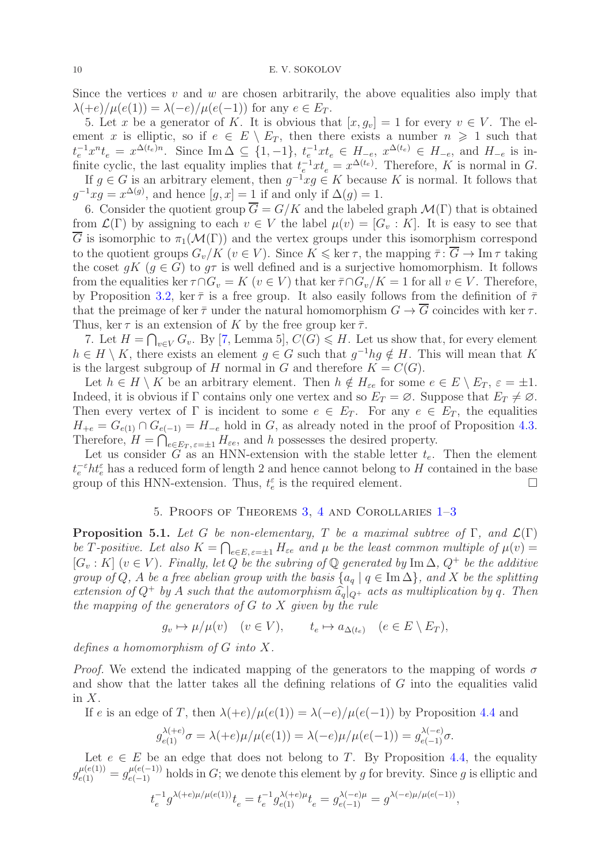Since the vertices  $v$  and  $w$  are chosen arbitrarily, the above equalities also imply that  $\lambda(+e)/\mu(e(1)) = \lambda(-e)/\mu(e(-1))$  for any  $e \in E_T$ .

5. Let x be a generator of K. It is obvious that  $[x, g_v] = 1$  for every  $v \in V$ . The element x is elliptic, so if  $e \in E \setminus E_T$ , then there exists a number  $n \geq 1$  such that  $t_e^{-1}x^nt_e = x^{\Delta(t_e)n}$ . Since Im  $\Delta \subseteq \{1, -1\}$ ,  $t_e^{-1}xt_e \in H_{-e}$ ,  $x^{\Delta(t_e)} \in H_{-e}$ , and  $H_{-e}$  is infinite cyclic, the last equality implies that  $t_e^{-1}xt_e = x^{\Delta(t_e)}$ . Therefore, K is normal in G. If  $g \in G$  is an arbitrary element, then  $g^{-1}xg \in K$  because K is normal. It follows that  $g^{-1}xg = x^{\Delta(g)}$ , and hence  $[g, x] = 1$  if and only if  $\Delta(g) = 1$ .

6. Consider the quotient group  $\overline{G} = G/K$  and the labeled graph  $\mathcal{M}(\Gamma)$  that is obtained from  $\mathcal{L}(\Gamma)$  by assigning to each  $v \in V$  the label  $\mu(v) = [G_v : K]$ . It is easy to see that  $\overline{G}$  is isomorphic to  $\pi_1(\mathcal{M}(\Gamma))$  and the vertex groups under this isomorphism correspond to the quotient groups  $G_v/K$  ( $v \in V$ ). Since  $K \leq \ker \tau$ , the mapping  $\overline{\tau} : \overline{G} \to \text{Im } \tau$  taking the coset  $gK$  ( $g \in G$ ) to  $g\tau$  is well defined and is a surjective homomorphism. It follows from the equalities ker  $\tau \cap G_v = K$   $(v \in V)$  that ker  $\overline{\tau} \cap G_v/K = 1$  for all  $v \in V$ . Therefore, by Proposition [3.2,](#page-5-0) ker  $\bar{\tau}$  is a free group. It also easily follows from the definition of  $\bar{\tau}$ that the preimage of ker  $\bar{\tau}$  under the natural homomorphism  $G \to \overline{G}$  coincides with ker  $\tau$ . Thus, ker  $\tau$  is an extension of K by the free group ker  $\bar{\tau}$ .

7. Let  $H = \bigcap_{v \in V} G_v$ . By [\[7,](#page-18-12) Lemma 5],  $C(G) \leq H$ . Let us show that, for every element  $h \in H \setminus K$ , there exists an element  $g \in G$  such that  $g^{-1}hg \notin H$ . This will mean that K is the largest subgroup of H normal in G and therefore  $K = C(G)$ .

Let  $h \in H \setminus K$  be an arbitrary element. Then  $h \notin H_{\epsilon e}$  for some  $e \in E \setminus E_T$ ,  $\varepsilon = \pm 1$ . Indeed, it is obvious if  $\Gamma$  contains only one vertex and so  $E_T = \emptyset$ . Suppose that  $E_T \neq \emptyset$ . Then every vertex of  $\Gamma$  is incident to some  $e \in E_T$ . For any  $e \in E_T$ , the equalities  $H_{+e} = G_{e(1)} \cap G_{e(-1)} = H_{-e}$  hold in G, as already noted in the proof of Proposition [4.3.](#page-7-0) Therefore,  $H = \bigcap_{e \in E_T, e = \pm 1}^{\infty} H_{\varepsilon e}$ , and h possesses the desired property.

Let us consider  $\tilde{G}$  as an HNN-extension with the stable letter  $t_e$ . Then the element  $t_e^{-\varepsilon}h t_e^{\varepsilon}$  has a reduced form of length 2 and hence cannot belong to H contained in the base group of this HNN-extension. Thus,  $t_e^{\varepsilon}$  is the required element.

## 5. Proofs of Theorems [3,](#page-2-0) [4](#page-2-1) and Corollaries [1](#page-2-3)[–3](#page-2-5)

<span id="page-9-0"></span>**Proposition 5.1.** Let G be non-elementary, T be a maximal subtree of  $\Gamma$ , and  $\mathcal{L}(\Gamma)$ be T-positive. Let also  $K = \bigcap_{e \in E, \varepsilon = \pm 1} H_{\varepsilon e}$  and  $\mu$  be the least common multiple of  $\mu(v) =$  $[G_v : K]$   $(v \in V)$ . Finally, let Q be the subring of  $\mathbb Q$  generated by Im  $\Delta$ ,  $Q^+$  be the additive group of Q, A be a free abelian group with the basis  $\{a_q | q \in \text{Im }\Delta\}$ , and X be the splitting extension of  $Q^+$  by A such that the automorphism  $\hat{a}_q|_{Q^+}$  acts as multiplication by q. Then the mapping of the generators of  $G$  to  $X$  given by the rule

$$
g_v \mapsto \mu/\mu(v) \quad (v \in V), \qquad t_e \mapsto a_{\Delta(t_e)} \quad (e \in E \setminus E_T),
$$

defines a homomorphism of G into X.

*Proof.* We extend the indicated mapping of the generators to the mapping of words  $\sigma$ and show that the latter takes all the defining relations of  $G$  into the equalities valid in  $X$ .

If e is an edge of T, then 
$$
\lambda(+e)/\mu(e(1)) = \lambda(-e)/\mu(e(-1))
$$
 by Proposition 4.4 and

$$
g_{e(1)}^{\lambda(+e)}\sigma = \lambda(+e)\mu/\mu(e(1)) = \lambda(-e)\mu/\mu(e(-1)) = g_{e(-1)}^{\lambda(-e)}\sigma.
$$

Let  $e \in E$  be an edge that does not belong to T. By Proposition [4.4,](#page-8-0) the equality  $g_{e(1)}^{\mu(e(1))} = g_{e(-1)}^{\mu(e(-1))}$  holds in G; we denote this element by g for brevity. Since g is elliptic and

$$
t_e^{-1}g^{\lambda(+e)\mu/\mu(e(1))}t_e = t_e^{-1}g^{\lambda(+e)\mu}_{e(1)}t_e = g^{\lambda(-e)\mu}_{e(-1)} = g^{\lambda(-e)\mu/\mu(e(-1))},
$$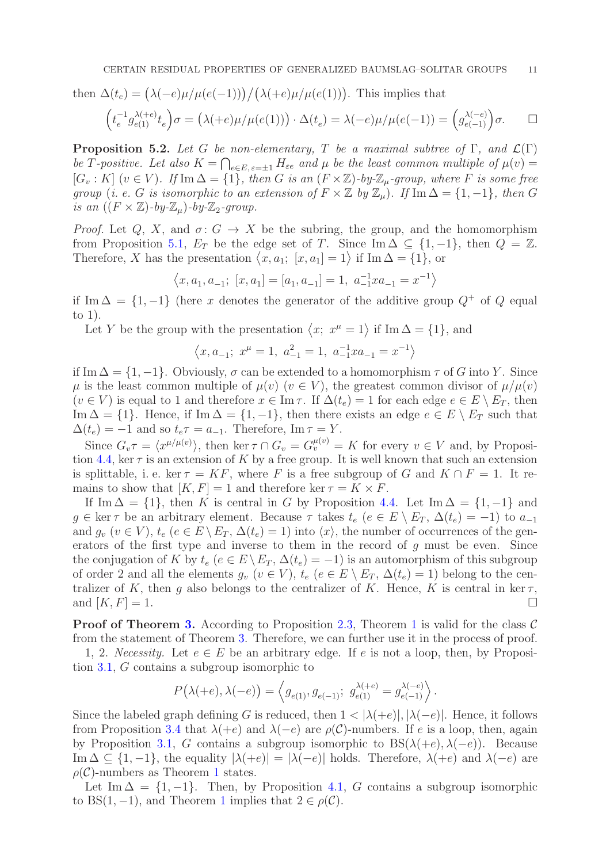then 
$$
\Delta(t_e) = (\lambda(-e)\mu/\mu(e(-1))) / (\lambda(+e)\mu/\mu(e(1))).
$$
 This implies that  
\n
$$
\left(t_e^{-1}g_{e(1)}^{\lambda(+e)}t_e\right)\sigma = (\lambda(+e)\mu/\mu(e(1))) \cdot \Delta(t_e) = \lambda(-e)\mu/\mu(e(-1)) = \left(g_{e(-1)}^{\lambda(-e)}\right)\sigma.
$$

<span id="page-10-0"></span>**Proposition 5.2.** Let G be non-elementary, T be a maximal subtree of  $\Gamma$ , and  $\mathcal{L}(\Gamma)$ be T-positive. Let also  $K = \bigcap_{e \in E, e = \pm 1} H_{\epsilon e}$  and  $\mu$  be the least common multiple of  $\mu(v) =$  $[G_v : K]$   $(v \in V)$ . If  $\text{Im } \Delta = \{1\}$ , then G is an  $(F \times \mathbb{Z})$ -by- $\mathbb{Z}_{\mu}$ -group, where F is some free group (i. e. G is isomorphic to an extension of  $F \times \mathbb{Z}$  by  $\mathbb{Z}_{\mu}$ ). If Im  $\Delta = \{1, -1\}$ , then G is an  $((F \times \mathbb{Z})$ -by- $\mathbb{Z}_u$ )-by- $\mathbb{Z}_2$ -group.

*Proof.* Let Q, X, and  $\sigma: G \to X$  be the subring, the group, and the homomorphism from Proposition [5.1,](#page-9-0)  $E_T$  be the edge set of T. Since Im  $\Delta \subseteq \{1, -1\}$ , then  $Q = \mathbb{Z}$ . Therefore, X has the presentation  $\langle x, a_1; [x, a_1] = 1 \rangle$  if Im  $\Delta = \{1\}$ , or

$$
\left\langle x,a_1,a_{-1};\,\, [x,a_1]=[a_1,a_{-1}]=1,\,\,a_{-1}^{-1}xa_{-1}=x^{-1}\right\rangle
$$

if Im  $\Delta = \{1, -1\}$  (here x denotes the generator of the additive group  $Q^+$  of Q equal to 1).

Let Y be the group with the presentation  $\langle x, x^{\mu} = 1 \rangle$  if Im  $\Delta = \{1\}$ , and

$$
\left\langle x,a_{-1};\ x^{\mu}=1,\ a_{-1}^{2}=1,\ a_{-1}^{-1}xa_{-1}=x^{-1}\right\rangle
$$

if Im  $\Delta = \{1, -1\}$ . Obviously,  $\sigma$  can be extended to a homomorphism  $\tau$  of G into Y. Since  $\mu$  is the least common multiple of  $\mu(v)$  ( $v \in V$ ), the greatest common divisor of  $\mu/\mu(v)$  $(v \in V)$  is equal to 1 and therefore  $x \in \text{Im }\tau$ . If  $\Delta(t_e) = 1$  for each edge  $e \in E \setminus E_T$ , then Im  $\Delta = \{1\}$ . Hence, if Im  $\Delta = \{1, -1\}$ , then there exists an edge  $e \in E \setminus E_T$  such that  $\Delta(t_e) = -1$  and so  $t_e \tau = a_{-1}$ . Therefore, Im  $\tau = Y$ .

Since  $G_v \tau = \langle x^{\mu/\mu(v)} \rangle$ , then ker  $\tau \cap G_v = G_v^{\mu(v)} = K$  for every  $v \in V$  and, by Proposi-tion [4.4,](#page-8-0) ker  $\tau$  is an extension of K by a free group. It is well known that such an extension is splittable, i. e. ker  $\tau = KF$ , where F is a free subgroup of G and  $K \cap F = 1$ . It remains to show that  $[K, F] = 1$  and therefore ker  $\tau = K \times F$ .

If Im  $\Delta = \{1\}$ , then K is central in G by Proposition [4.4.](#page-8-0) Let Im  $\Delta = \{1, -1\}$  and  $g \in \ker \tau$  be an arbitrary element. Because  $\tau$  takes  $t_e$  ( $e \in E \setminus E_T$ ,  $\Delta(t_e) = -1$ ) to  $a_{-1}$ and  $g_v$   $(v \in V)$ ,  $t_e$   $(e \in E \setminus E_T, \Delta(t_e) = 1)$  into  $\langle x \rangle$ , the number of occurrences of the generators of the first type and inverse to them in the record of  $g$  must be even. Since the conjugation of K by  $t_e$  ( $e \in E \setminus E_T$ ,  $\Delta(t_e) = -1$ ) is an automorphism of this subgroup of order 2 and all the elements  $g_v$   $(v \in V)$ ,  $t_e$   $(e \in E \setminus E_T, \Delta(t_e) = 1)$  belong to the centralizer of K, then g also belongs to the centralizer of K. Hence, K is central in ker  $\tau$ , and  $[K, F] = 1$ .

**Proof of Theorem [3.](#page-2-0)** According to Proposition [2.3,](#page-3-1) Theorem [1](#page-1-0) is valid for the class  $\mathcal{C}$ from the statement of Theorem [3.](#page-2-0) Therefore, we can further use it in the process of proof.

1, 2. Necessity. Let  $e \in E$  be an arbitrary edge. If e is not a loop, then, by Proposition [3.1,](#page-4-1) G contains a subgroup isomorphic to

$$
P\big(\lambda(+e),\lambda(-e)\big)=\left\langle g_{e(1)},g_{e(-1)}; \ g_{e(1)}^{\lambda(+e)}=g_{e(-1)}^{\lambda(-e)}\right\rangle.
$$

Since the labeled graph defining G is reduced, then  $1 < |\lambda(+e)|, |\lambda(-e)|$ . Hence, it follows from Proposition [3.4](#page-5-1) that  $\lambda(+e)$  and  $\lambda(-e)$  are  $\rho(\mathcal{C})$ -numbers. If e is a loop, then, again by Proposition [3.1,](#page-4-1) G contains a subgroup isomorphic to  $BS(\lambda(+e), \lambda(-e))$ . Because Im  $\Delta \subseteq \{1, -1\}$ , the equality  $|\lambda(+e)| = |\lambda(-e)|$  holds. Therefore,  $\lambda(+e)$  and  $\lambda(-e)$  are  $\rho(\mathcal{C})$ -numbers as Theorem [1](#page-1-0) states.

Let Im  $\Delta = \{1, -1\}$ . Then, by Proposition [4.1,](#page-7-1) G contains a subgroup isomorphic to BS([1](#page-1-0), -1), and Theorem 1 implies that  $2 \in \rho(\mathcal{C})$ .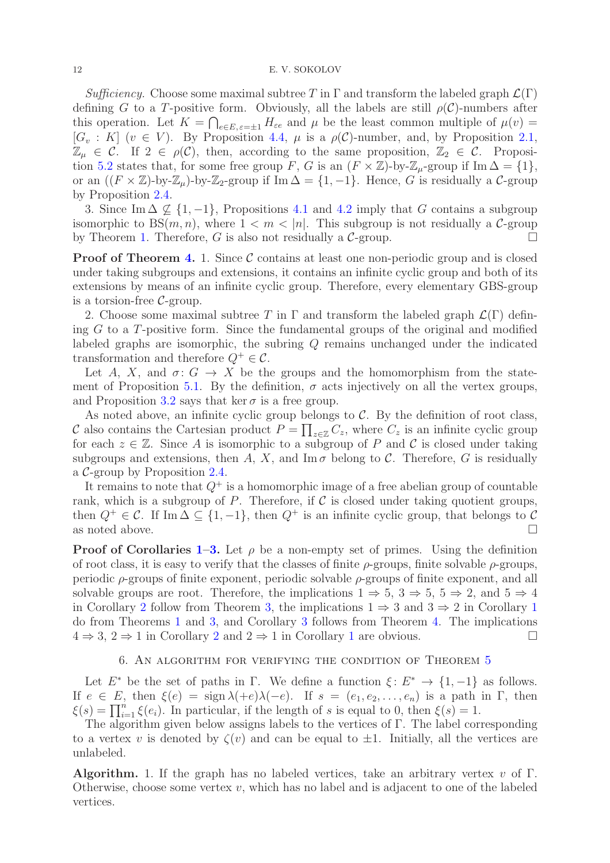Sufficiency. Choose some maximal subtree T in  $\Gamma$  and transform the labeled graph  $\mathcal{L}(\Gamma)$ defining G to a T-positive form. Obviously, all the labels are still  $\rho(\mathcal{C})$ -numbers after this operation. Let  $K = \bigcap_{e \in E, \varepsilon = \pm 1} H_{\varepsilon e}$  and  $\mu$  be the least common multiple of  $\mu(v) =$  $[G_v : K]$   $(v \in V)$ . By Proposition [4.4,](#page-8-0)  $\mu$  is a  $\rho(\mathcal{C})$ -number, and, by Proposition [2.1,](#page-3-2)  $\mathbb{Z}_{\mu} \in \mathcal{C}$ . If  $2 \in \rho(\mathcal{C})$ , then, according to the same proposition,  $\mathbb{Z}_{2} \in \mathcal{C}$ . Proposi-tion [5.2](#page-10-0) states that, for some free group F, G is an  $(F \times \mathbb{Z})$ -by- $\mathbb{Z}_{\mu}$ -group if Im  $\Delta = \{1\}$ , or an  $((F \times \mathbb{Z})$ -by- $\mathbb{Z}_\mu$ )-by- $\mathbb{Z}_2$ -group if Im  $\Delta = \{1, -1\}$ . Hence, G is residually a C-group by Proposition [2.4.](#page-3-4)

3. Since Im  $\Delta \not\subset \{1, -1\}$ , Propositions [4.1](#page-7-1) and [4.2](#page-7-2) imply that G contains a subgroup isomorphic to BS $(m, n)$ , where  $1 < m < |n|$ . This subgroup is not residually a C-group by Theorem [1.](#page-1-0) Therefore, G is also not residually a  $C$ -group.

**Proof of Theorem [4.](#page-2-1)** 1. Since  $\mathcal C$  contains at least one non-periodic group and is closed under taking subgroups and extensions, it contains an infinite cyclic group and both of its extensions by means of an infinite cyclic group. Therefore, every elementary GBS-group is a torsion-free  $C$ -group.

2. Choose some maximal subtree T in  $\Gamma$  and transform the labeled graph  $\mathcal{L}(\Gamma)$  defining  $G$  to a  $T$ -positive form. Since the fundamental groups of the original and modified labeled graphs are isomorphic, the subring Q remains unchanged under the indicated transformation and therefore  $Q^+ \in \mathcal{C}$ .

Let A, X, and  $\sigma: G \to X$  be the groups and the homomorphism from the state-ment of Proposition [5.1.](#page-9-0) By the definition,  $\sigma$  acts injectively on all the vertex groups, and Proposition [3.2](#page-5-0) says that ker  $\sigma$  is a free group.

As noted above, an infinite cyclic group belongs to  $C$ . By the definition of root class, C also contains the Cartesian product  $P = \prod_{z \in \mathbb{Z}} C_z$ , where  $C_z$  is an infinite cyclic group for each  $z \in \mathbb{Z}$ . Since A is isomorphic to a subgroup of P and C is closed under taking subgroups and extensions, then A, X, and Im  $\sigma$  belong to C. Therefore, G is residually a C-group by Proposition [2.4.](#page-3-4)

It remains to note that  $Q^+$  is a homomorphic image of a free abelian group of countable rank, which is a subgroup of  $P$ . Therefore, if  $C$  is closed under taking quotient groups, then  $Q^+ \in \mathcal{C}$ . If Im  $\Delta \subseteq \{1, -1\}$ , then  $Q^+$  is an infinite cyclic group, that belongs to  $\mathcal{C}$ as noted above.  $\hfill \square$ 

**Proof of Corollaries [1–](#page-2-3)[3.](#page-2-5)** Let  $\rho$  be a non-empty set of primes. Using the definition of root class, it is easy to verify that the classes of finite  $\rho$ -groups, finite solvable  $\rho$ -groups, periodic  $\rho$ -groups of finite exponent, periodic solvable  $\rho$ -groups of finite exponent, and all solvable groups are root. Therefore, the implications  $1 \Rightarrow 5, 3 \Rightarrow 5, 5 \Rightarrow 2$ , and  $5 \Rightarrow 4$ in Corollary [2](#page-2-4) follow from Theorem [3,](#page-2-0) the implications  $1 \Rightarrow 3$  $1 \Rightarrow 3$  and  $3 \Rightarrow 2$  in Corollary 1 do from Theorems [1](#page-1-0) and [3,](#page-2-0) and Corollary [3](#page-2-5) follows from Theorem [4.](#page-2-1) The implications  $4 \Rightarrow 3, 2 \Rightarrow 1$  $4 \Rightarrow 3, 2 \Rightarrow 1$  $4 \Rightarrow 3, 2 \Rightarrow 1$  $4 \Rightarrow 3, 2 \Rightarrow 1$  in Corollary 2 and  $2 \Rightarrow 1$  in Corollary 1 are obvious.

## 6. An algorithm for verifying the condition of Theorem [5](#page-2-2)

<span id="page-11-0"></span>Let  $E^*$  be the set of paths in  $\Gamma$ . We define a function  $\xi: E^* \to \{1, -1\}$  as follows. If  $e \in E$ , then  $\xi(e) = \text{sign } \lambda(e) \lambda(-e)$ . If  $s = (e_1, e_2, \ldots, e_n)$  is a path in  $\Gamma$ , then  $\xi(s) = \prod_{i=1}^{n} \xi(e_i)$ . In particular, if the length of s is equal to 0, then  $\xi(s) = 1$ .

The algorithm given below assigns labels to the vertices of Γ. The label corresponding to a vertex v is denoted by  $\zeta(v)$  and can be equal to  $\pm 1$ . Initially, all the vertices are unlabeled.

**Algorithm.** 1. If the graph has no labeled vertices, take an arbitrary vertex v of  $\Gamma$ . Otherwise, choose some vertex  $v$ , which has no label and is adjacent to one of the labeled vertices.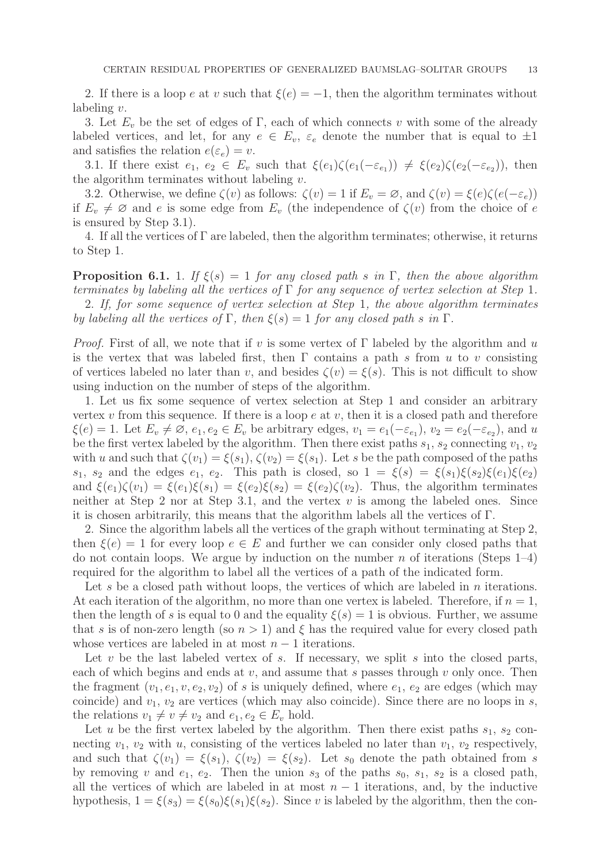2. If there is a loop e at v such that  $\xi(e) = -1$ , then the algorithm terminates without labeling v.

3. Let  $E_v$  be the set of edges of Γ, each of which connects v with some of the already labeled vertices, and let, for any  $e \in E_v$ ,  $\varepsilon_e$  denote the number that is equal to  $\pm 1$ and satisfies the relation  $e(\varepsilon_e) = v$ .

3.1. If there exist  $e_1, e_2 \in E_v$  such that  $\xi(e_1)\zeta(e_1(-\varepsilon_{e_1})) \neq \xi(e_2)\zeta(e_2(-\varepsilon_{e_2}))$ , then the algorithm terminates without labeling  $v$ .

3.2. Otherwise, we define  $\zeta(v)$  as follows:  $\zeta(v) = 1$  if  $E_v = \emptyset$ , and  $\zeta(v) = \xi(e)\zeta(e(-\varepsilon_e))$ if  $E_v \neq \emptyset$  and e is some edge from  $E_v$  (the independence of  $\zeta(v)$  from the choice of e is ensured by Step 3.1).

4. If all the vertices of  $\Gamma$  are labeled, then the algorithm terminates; otherwise, it returns to Step 1.

<span id="page-12-0"></span>**Proposition 6.1.** 1. If  $\xi(s) = 1$  for any closed path s in Γ, then the above algorithm terminates by labeling all the vertices of  $\Gamma$  for any sequence of vertex selection at Step 1. 2. If, for some sequence of vertex selection at Step 1, the above algorithm terminates by labeling all the vertices of  $\Gamma$ , then  $\xi(s) = 1$  for any closed path s in  $\Gamma$ .

*Proof.* First of all, we note that if v is some vertex of  $\Gamma$  labeled by the algorithm and u is the vertex that was labeled first, then  $\Gamma$  contains a path s from u to v consisting of vertices labeled no later than v, and besides  $\zeta(v) = \xi(s)$ . This is not difficult to show using induction on the number of steps of the algorithm.

1. Let us fix some sequence of vertex selection at Step 1 and consider an arbitrary vertex  $v$  from this sequence. If there is a loop  $e$  at  $v$ , then it is a closed path and therefore  $\xi(e) = 1$ . Let  $E_v \neq \emptyset$ ,  $e_1, e_2 \in E_v$  be arbitrary edges,  $v_1 = e_1(-\varepsilon_{e_1}), v_2 = e_2(-\varepsilon_{e_2}),$  and u be the first vertex labeled by the algorithm. Then there exist paths  $s_1$ ,  $s_2$  connecting  $v_1$ ,  $v_2$ with u and such that  $\zeta(v_1) = \xi(s_1)$ ,  $\zeta(v_2) = \xi(s_1)$ . Let s be the path composed of the paths  $s_1, s_2$  and the edges  $e_1, e_2$ . This path is closed, so  $1 = \xi(s) = \xi(s_1)\xi(s_2)\xi(e_1)\xi(e_2)$ and  $\xi(e_1)\zeta(v_1) = \xi(e_1)\xi(s_1) = \xi(e_2)\xi(s_2) = \xi(e_2)\zeta(v_2)$ . Thus, the algorithm terminates neither at Step 2 nor at Step 3.1, and the vertex  $v$  is among the labeled ones. Since it is chosen arbitrarily, this means that the algorithm labels all the vertices of Γ.

2. Since the algorithm labels all the vertices of the graph without terminating at Step 2, then  $\xi(e) = 1$  for every loop  $e \in E$  and further we can consider only closed paths that do not contain loops. We argue by induction on the number n of iterations (Steps  $1-4$ ) required for the algorithm to label all the vertices of a path of the indicated form.

Let s be a closed path without loops, the vertices of which are labeled in n iterations. At each iteration of the algorithm, no more than one vertex is labeled. Therefore, if  $n = 1$ , then the length of s is equal to 0 and the equality  $\xi(s) = 1$  is obvious. Further, we assume that s is of non-zero length (so  $n > 1$ ) and  $\xi$  has the required value for every closed path whose vertices are labeled in at most  $n - 1$  iterations.

Let v be the last labeled vertex of s. If necessary, we split s into the closed parts, each of which begins and ends at  $v$ , and assume that s passes through  $v$  only once. Then the fragment  $(v_1, e_1, v, e_2, v_2)$  of s is uniquely defined, where  $e_1, e_2$  are edges (which may coincide) and  $v_1, v_2$  are vertices (which may also coincide). Since there are no loops in s, the relations  $v_1 \neq v \neq v_2$  and  $e_1, e_2 \in E_v$  hold.

Let u be the first vertex labeled by the algorithm. Then there exist paths  $s_1$ ,  $s_2$  connecting  $v_1$ ,  $v_2$  with u, consisting of the vertices labeled no later than  $v_1$ ,  $v_2$  respectively, and such that  $\zeta(v_1) = \xi(s_1)$ ,  $\zeta(v_2) = \xi(s_2)$ . Let  $s_0$  denote the path obtained from s by removing v and  $e_1, e_2$ . Then the union  $s_3$  of the paths  $s_0, s_1, s_2$  is a closed path, all the vertices of which are labeled in at most  $n-1$  iterations, and, by the inductive hypothesis,  $1 = \xi(s_3) = \xi(s_0)\xi(s_1)\xi(s_2)$ . Since v is labeled by the algorithm, then the con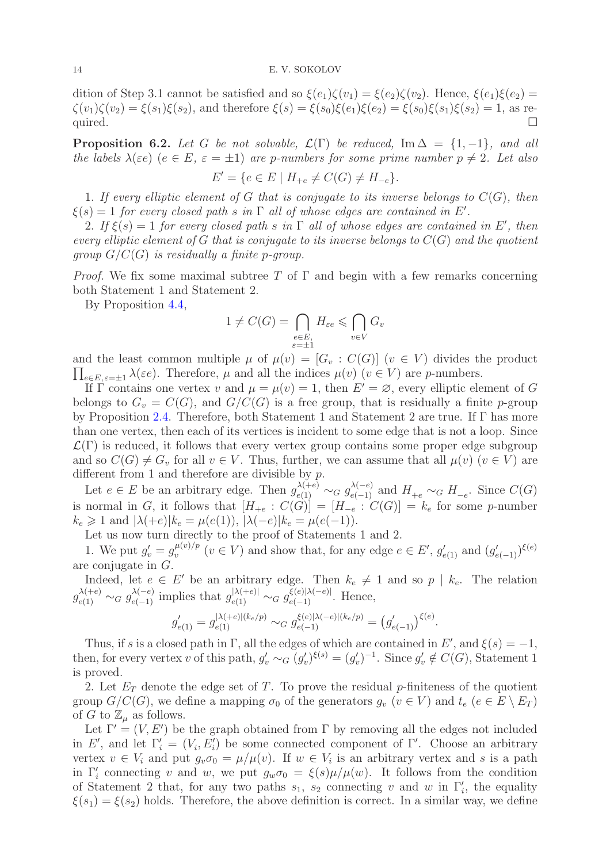dition of Step 3.1 cannot be satisfied and so  $\xi(e_1)\zeta(v_1) = \xi(e_2)\zeta(v_2)$ . Hence,  $\xi(e_1)\xi(e_2) =$  $\zeta(v_1)\zeta(v_2) = \xi(s_1)\xi(s_2)$ , and therefore  $\xi(s) = \xi(s_0)\xi(e_1)\xi(e_2) = \xi(s_0)\xi(s_1)\xi(s_2) = 1$ , as required.  $\Box$ 

<span id="page-13-0"></span>**Proposition 6.2.** Let G be not solvable,  $\mathcal{L}(\Gamma)$  be reduced, Im  $\Delta = \{1, -1\}$ , and all the labels  $\lambda(\varepsilon e)$  ( $e \in E$ ,  $\varepsilon = \pm 1$ ) are p-numbers for some prime number  $p \neq 2$ . Let also  $E' = \{e \in E \mid H_{+e} \neq C(G) \neq H_{-e}\}.$ 

1. If every elliptic element of G that is conjugate to its inverse belongs to  $C(G)$ , then  $\xi(s) = 1$  for every closed path s in  $\Gamma$  all of whose edges are contained in E'.

2. If  $\xi(s) = 1$  for every closed path s in  $\Gamma$  all of whose edges are contained in E', then every elliptic element of G that is conjugate to its inverse belongs to  $C(G)$  and the quotient group  $G/C(G)$  is residually a finite p-group.

*Proof.* We fix some maximal subtree T of  $\Gamma$  and begin with a few remarks concerning both Statement 1 and Statement 2.

By Proposition [4.4,](#page-8-0)

$$
1 \neq C(G) = \bigcap_{\substack{e \in E, \\ \varepsilon = \pm 1}} H_{\varepsilon e} \leqslant \bigcap_{v \in V} G_v
$$

 $\prod_{e \in E, \varepsilon = \pm 1} \lambda(\varepsilon e)$ . Therefore,  $\mu$  and all the indices  $\mu(v)$  ( $v \in V$ ) are p-numbers. and the least common multiple  $\mu$  of  $\mu(v) = [G_v : C(G)]$   $(v \in V)$  divides the product

If Γ contains one vertex v and  $\mu = \mu(v) = 1$ , then  $E' = \emptyset$ , every elliptic element of G belongs to  $G_v = C(G)$ , and  $G/C(G)$  is a free group, that is residually a finite p-group by Proposition [2.4.](#page-3-4) Therefore, both Statement 1 and Statement 2 are true. If Γ has more than one vertex, then each of its vertices is incident to some edge that is not a loop. Since  $\mathcal{L}(\Gamma)$  is reduced, it follows that every vertex group contains some proper edge subgroup and so  $C(G) \neq G_v$  for all  $v \in V$ . Thus, further, we can assume that all  $\mu(v)$   $(v \in V)$  are different from 1 and therefore are divisible by  $p$ .

Let  $e \in E$  be an arbitrary edge. Then  $g_{e(1)}^{\lambda(+e)} \sim_G g_{e(-1)}^{\lambda(-e)}$  and  $H_{+e} \sim_G H_{-e}$ . Since  $C(G)$ is normal in G, it follows that  $[H_{+e} : C(G)] = [H_{-e} : C(G)] = k_e$  for some p-number  $k_e \geq 1$  and  $|\lambda(+e)|k_e = \mu(e(1)), |\lambda(-e)|k_e = \mu(e(-1)).$ 

Let us now turn directly to the proof of Statements 1 and 2.

1. We put  $g'_v = g^{\mu(v)/p}_v$  $\psi_v^{(v)/p}$  ( $v \in V$ ) and show that, for any edge  $e \in E'$ ,  $g'_{e(1)}$  and  $(g'_{e(-1)})^{\xi(e)}$ are conjugate in G.

Indeed, let  $e \in E'$  be an arbitrary edge. Then  $k_e \neq 1$  and so  $p \mid k_e$ . The relation  $g_{e(1)}^{\lambda(+e)} \sim_G g_{e(-1)}^{\lambda(-e)}$  implies that  $g_{e(1)}^{|\lambda(+e)|} \sim_G g_{e(-1)}^{\xi(e)|\lambda(-e)|}$ . Hence,

$$
g'_{e(1)} = g^{|{\lambda(+e)}|(k_e/p)}_{e(1)} \sim_G g^{\xi(e)|{\lambda(-e)}|(k_e/p)}_{e(-1)} = (g'_{e(-1)})^{\xi(e)}.
$$

Thus, if s is a closed path in  $\Gamma$ , all the edges of which are contained in E', and  $\xi(s) = -1$ , then, for every vertex v of this path,  $g'_v \sim_G (g'_v)^{\xi(s)} = (g'_v)^{-1}$ . Since  $g'_v \notin C(G)$ , Statement 1 is proved.

2. Let  $E_T$  denote the edge set of T. To prove the residual p-finiteness of the quotient group  $G/C(G)$ , we define a mapping  $\sigma_0$  of the generators  $g_v$   $(v \in V)$  and  $t_e$   $(e \in E \setminus E_T)$ of G to  $\mathbb{Z}_{\mu}$  as follows.

Let  $\Gamma' = (V, E')$  be the graph obtained from  $\Gamma$  by removing all the edges not included in E', and let  $\Gamma'_i = (V_i, E'_i)$  be some connected component of  $\Gamma'$ . Choose an arbitrary vertex  $v \in V_i$  and put  $g_v \sigma_0 = \mu/\mu(v)$ . If  $w \in V_i$  is an arbitrary vertex and s is a path in  $\Gamma'_i$  connecting v and w, we put  $g_w \sigma_0 = \xi(s)\mu/\mu(w)$ . It follows from the condition of Statement 2 that, for any two paths  $s_1$ ,  $s_2$  connecting v and w in  $\Gamma'_i$ , the equality  $\xi(s_1) = \xi(s_2)$  holds. Therefore, the above definition is correct. In a similar way, we define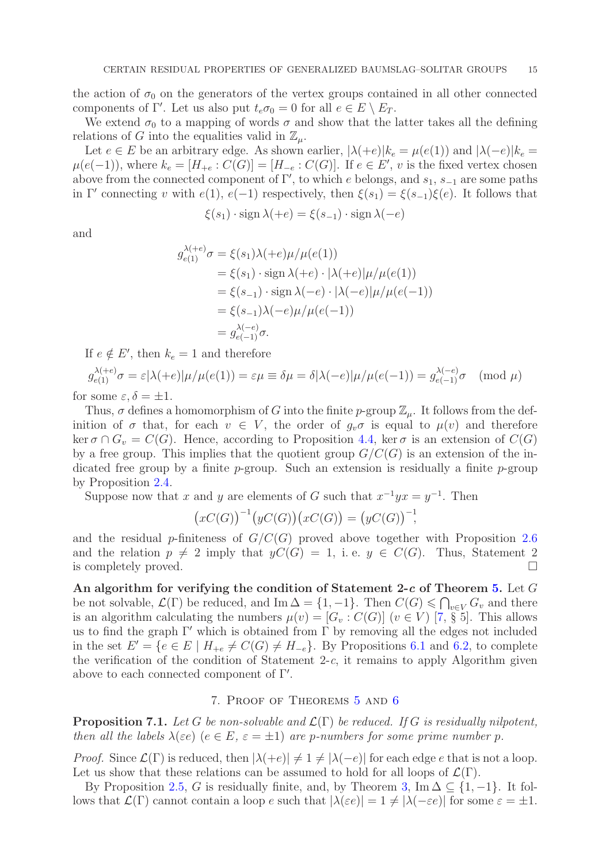the action of  $\sigma_0$  on the generators of the vertex groups contained in all other connected components of Γ'. Let us also put  $t_e \sigma_0 = 0$  for all  $e \in E \setminus E_T$ .

We extend  $\sigma_0$  to a mapping of words  $\sigma$  and show that the latter takes all the defining relations of G into the equalities valid in  $\mathbb{Z}_n$ .

Let  $e \in E$  be an arbitrary edge. As shown earlier,  $|\lambda(+e)|k_e = \mu(e(1))$  and  $|\lambda(-e)|k_e =$  $\mu(e(-1))$ , where  $k_e = [H_{+e} : C(G)] = [H_{-e} : C(G)]$ . If  $e \in E'$ , v is the fixed vertex chosen above from the connected component of  $\Gamma'$ , to which e belongs, and  $s_1$ ,  $s_{-1}$  are some paths in Γ' connecting v with  $e(1)$ ,  $e(-1)$  respectively, then  $\xi(s_1) = \xi(s_{-1})\xi(e)$ . It follows that

$$
\xi(s_1) \cdot \operatorname{sign} \lambda(+e) = \xi(s_{-1}) \cdot \operatorname{sign} \lambda(-e)
$$

and

$$
g_{e(1)}^{\lambda(+e)}\sigma = \xi(s_1)\lambda(+e)\mu/\mu(e(1))
$$
  
=  $\xi(s_1) \cdot \text{sign }\lambda(+e) \cdot |\lambda(+e)|\mu/\mu(e(1))$   
=  $\xi(s_{-1}) \cdot \text{sign }\lambda(-e) \cdot |\lambda(-e)|\mu/\mu(e(-1))$   
=  $\xi(s_{-1})\lambda(-e)\mu/\mu(e(-1))$   
=  $g_{e(-1)}^{\lambda(-e)}\sigma$ .

If  $e \notin E'$ , then  $k_e = 1$  and therefore

$$
g_{e(1)}^{\lambda(+e)}\sigma = \varepsilon |\lambda(+e)|\mu/\mu(e(1)) = \varepsilon \mu \equiv \delta \mu = \delta |\lambda(-e)|\mu/\mu(e(-1)) = g_{e(-1)}^{\lambda(-e)}\sigma \pmod{\mu}
$$

for some  $\varepsilon, \delta = \pm 1$ .

Thus,  $\sigma$  defines a homomorphism of G into the finite p-group  $\mathbb{Z}_{\mu}$ . It follows from the definition of  $\sigma$  that, for each  $v \in V$ , the order of  $g_v \sigma$  is equal to  $\mu(v)$  and therefore ker  $\sigma \cap G_v = C(G)$ . Hence, according to Proposition [4.4,](#page-8-0) ker  $\sigma$  is an extension of  $C(G)$ by a free group. This implies that the quotient group  $G/C(G)$  is an extension of the indicated free group by a finite  $p$ -group. Such an extension is residually a finite  $p$ -group by Proposition [2.4.](#page-3-4)

Suppose now that x and y are elements of G such that  $x^{-1}yx = y^{-1}$ . Then

$$
(xC(G))^{-1}(yC(G))(xC(G)) = (yC(G))^{-1},
$$

and the residual p-finiteness of  $G/C(G)$  proved above together with Proposition [2.6](#page-4-2) and the relation  $p \neq 2$  imply that  $yC(G) = 1$ , i. e.  $y \in C(G)$ . Thus, Statement 2 is completely proved.  $\Box$ 

An algorithm for verifying the condition of Statement 2-c of Theorem [5.](#page-2-2) Let  $G$ be not solvable,  $\mathcal{L}(\Gamma)$  be reduced, and Im  $\Delta = \{1, -1\}$ . Then  $C(G) \leq \bigcap_{v \in V} G_v$  and there is an algorithm calculating the numbers  $\mu(v) = [G_v : C(G)]$   $(v \in V)$  [\[7,](#page-18-12) § 5]. This allows us to find the graph  $\Gamma'$  which is obtained from  $\Gamma$  by removing all the edges not included in the set  $E' = \{e \in E \mid H_{+e} \neq C(G) \neq H_{-e}\}.$  By Propositions [6.1](#page-12-0) and [6.2,](#page-13-0) to complete the verification of the condition of Statement  $2-c$ , it remains to apply Algorithm given above to each connected component of  $\Gamma'$ .

## 7. Proof of Theorems [5](#page-2-2) and [6](#page-3-0)

<span id="page-14-0"></span>**Proposition 7.1.** Let G be non-solvable and  $\mathcal{L}(\Gamma)$  be reduced. If G is residually nilpotent, then all the labels  $\lambda(\varepsilon e)$  ( $e \in E$ ,  $\varepsilon = \pm 1$ ) are p-numbers for some prime number p.

*Proof.* Since  $\mathcal{L}(\Gamma)$  is reduced, then  $|\lambda(+e)| \neq 1 \neq |\lambda(-e)|$  for each edge e that is not a loop. Let us show that these relations can be assumed to hold for all loops of  $\mathcal{L}(\Gamma)$ .

By Proposition [2.5,](#page-3-5) G is residually finite, and, by Theorem [3,](#page-2-0) Im  $\Delta \subseteq \{1, -1\}$ . It follows that  $\mathcal{L}(\Gamma)$  cannot contain a loop e such that  $|\lambda(\varepsilon e)| = 1 \neq |\lambda(-\varepsilon e)|$  for some  $\varepsilon = \pm 1$ .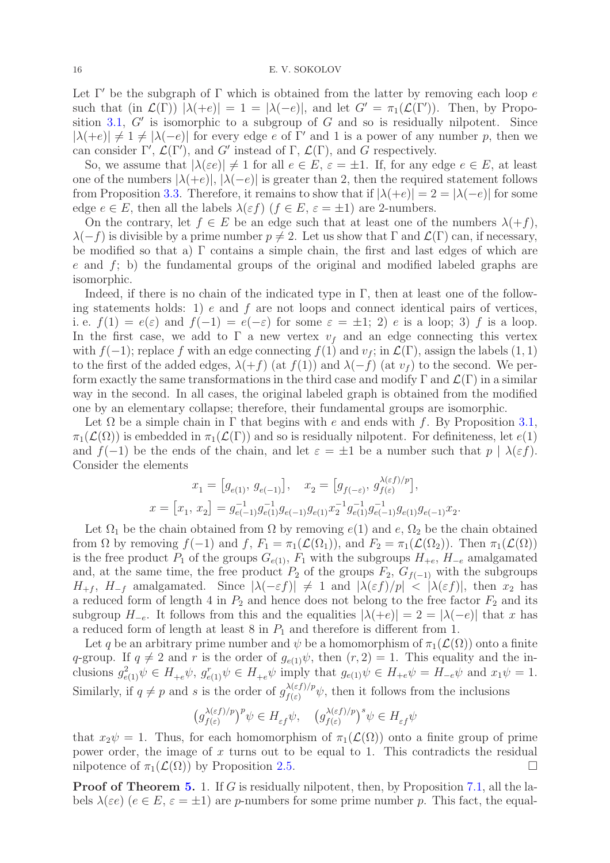#### 16 E. V. SOKOLOV

Let  $\Gamma'$  be the subgraph of  $\Gamma$  which is obtained from the latter by removing each loop e such that (in  $\mathcal{L}(\Gamma)$ )  $|\lambda(+e)| = 1 = |\lambda(-e)|$ , and let  $G' = \pi_1(\mathcal{L}(\Gamma'))$ . Then, by Propo-sition [3.1,](#page-4-1)  $G'$  is isomorphic to a subgroup of  $G$  and so is residually nilpotent. Since  $|\lambda(+e)| \neq 1 \neq |\lambda(-e)|$  for every edge e of Γ' and 1 is a power of any number p, then we can consider  $\Gamma'$ ,  $\mathcal{L}(\Gamma')$ , and G' instead of  $\Gamma$ ,  $\mathcal{L}(\Gamma)$ , and G respectively.

So, we assume that  $|\lambda(\varepsilon e)| \neq 1$  for all  $e \in E$ ,  $\varepsilon = \pm 1$ . If, for any edge  $e \in E$ , at least one of the numbers  $|\lambda(+e)|$ ,  $|\lambda(-e)|$  is greater than 2, then the required statement follows from Proposition [3.3.](#page-5-2) Therefore, it remains to show that if  $|\lambda(+e)| = 2 = |\lambda(-e)|$  for some edge  $e \in E$ , then all the labels  $\lambda(\varepsilon f)$   $(f \in E, \varepsilon = \pm 1)$  are 2-numbers.

On the contrary, let  $f \in E$  be an edge such that at least one of the numbers  $\lambda(f)$ ,  $\lambda(-f)$  is divisible by a prime number  $p \neq 2$ . Let us show that  $\Gamma$  and  $\mathcal{L}(\Gamma)$  can, if necessary, be modified so that a) Γ contains a simple chain, the first and last edges of which are  $e$  and  $f$ ; b) the fundamental groups of the original and modified labeled graphs are isomorphic.

Indeed, if there is no chain of the indicated type in  $\Gamma$ , then at least one of the following statements holds: 1) e and f are not loops and connect identical pairs of vertices, i. e.  $f(1) = e(\varepsilon)$  and  $f(-1) = e(-\varepsilon)$  for some  $\varepsilon = \pm 1$ ; 2) e is a loop; 3) f is a loop. In the first case, we add to  $\Gamma$  a new vertex  $v_f$  and an edge connecting this vertex with  $f(-1)$ ; replace f with an edge connecting  $f(1)$  and  $v_f$ ; in  $\mathcal{L}(\Gamma)$ , assign the labels  $(1, 1)$ to the first of the added edges,  $\lambda(+f)$  (at  $f(1)$ ) and  $\lambda(-f)$  (at  $v<sub>f</sub>$ ) to the second. We perform exactly the same transformations in the third case and modify  $\Gamma$  and  $\mathcal{L}(\Gamma)$  in a similar way in the second. In all cases, the original labeled graph is obtained from the modified one by an elementary collapse; therefore, their fundamental groups are isomorphic.

Let  $\Omega$  be a simple chain in  $\Gamma$  that begins with e and ends with f. By Proposition [3.1,](#page-4-1)  $\pi_1(\mathcal{L}(\Omega))$  is embedded in  $\pi_1(\mathcal{L}(\Gamma))$  and so is residually nilpotent. For definiteness, let  $e(1)$ and  $f(-1)$  be the ends of the chain, and let  $\varepsilon = \pm 1$  be a number such that  $p | \lambda(\varepsilon f)$ . Consider the elements  $\lambda$  (b)  $\ell$ 

$$
x_1 = [g_{e(1)}, g_{e(-1)}], \quad x_2 = [g_{f(-\varepsilon)}, g_{f(\varepsilon)}^{\lambda(\varepsilon f)/p}],
$$
  

$$
x = [x_1, x_2] = g_{e(-1)}^{-1} g_{e(1)}^{-1} g_{e(-1)} g_{e(1)} x_2^{-1} g_{e(1)}^{-1} g_{e(-1)}^{-1} g_{e(1)} g_{e(-1)} x_2.
$$

Let  $\Omega_1$  be the chain obtained from  $\Omega$  by removing  $e(1)$  and  $e, \Omega_2$  be the chain obtained from  $\Omega$  by removing  $f(-1)$  and  $f, F_1 = \pi_1(\mathcal{L}(\Omega_1))$ , and  $F_2 = \pi_1(\mathcal{L}(\Omega_2))$ . Then  $\pi_1(\mathcal{L}(\Omega))$ is the free product  $P_1$  of the groups  $G_{e(1)}$ ,  $F_1$  with the subgroups  $H_{+e}$ ,  $H_{-e}$  amalgamated and, at the same time, the free product  $P_2$  of the groups  $F_2$ ,  $G_{f(-1)}$  with the subgroups  $H_{+f}$ ,  $H_{-f}$  amalgamated. Since  $|\lambda(-\varepsilon f)| \neq 1$  and  $|\lambda(\varepsilon f)/p| < |\lambda(\varepsilon f)|$ , then  $x_2$  has a reduced form of length 4 in  $P_2$  and hence does not belong to the free factor  $F_2$  and its subgroup  $H_{-e}$ . It follows from this and the equalities  $|\lambda(+e)| = 2 = |\lambda(-e)|$  that x has a reduced form of length at least  $8$  in  $P_1$  and therefore is different from 1.

Let q be an arbitrary prime number and  $\psi$  be a homomorphism of  $\pi_1(\mathcal{L}(\Omega))$  onto a finite q-group. If  $q \neq 2$  and r is the order of  $g_{e(1)}\psi$ , then  $(r, 2) = 1$ . This equality and the inclusions  $g_{e(1)}^2 \psi \in H_{+e} \psi$ ,  $g_{e(1)}^r \psi \in H_{+e} \psi$  imply that  $g_{e(1)} \psi \in H_{+e} \psi = H_{-e} \psi$  and  $x_1 \psi = 1$ . Similarly, if  $q \neq p$  and s is the order of  $g_{f(\varepsilon)}^{\lambda(\varepsilon f)/p} \psi$ , then it follows from the inclusions

$$
\left(g_{f(\varepsilon)}^{\lambda(\varepsilon f)/p}\right)^p \psi \in H_{\varepsilon f} \psi, \quad \left(g_{f(\varepsilon)}^{\lambda(\varepsilon f)/p}\right)^s \psi \in H_{\varepsilon f} \psi
$$

that  $x_2\psi = 1$ . Thus, for each homomorphism of  $\pi_1(\mathcal{L}(\Omega))$  onto a finite group of prime power order, the image of  $x$  turns out to be equal to 1. This contradicts the residual nilpotence of  $\pi_1(\mathcal{L}(\Omega))$  by Proposition [2.5.](#page-3-5)

Proof of Theorem [5.](#page-2-2) 1. If G is residually nilpotent, then, by Proposition [7.1,](#page-14-0) all the labels  $\lambda(\varepsilon e)$   $(e \in E, \varepsilon = \pm 1)$  are p-numbers for some prime number p. This fact, the equal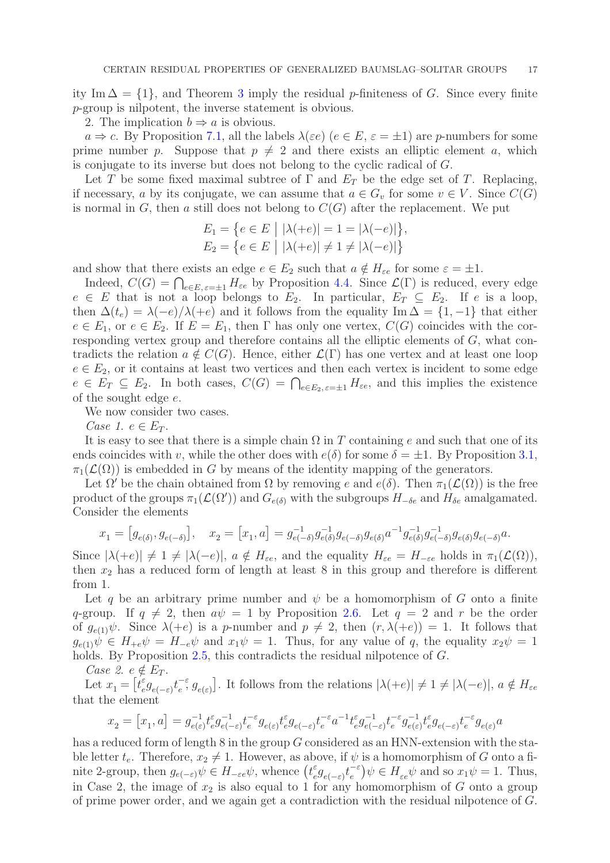ity Im  $\Delta = \{1\}$ , and Theorem [3](#page-2-0) imply the residual p-finiteness of G. Since every finite p-group is nilpotent, the inverse statement is obvious.

2. The implication  $b \Rightarrow a$  is obvious.

 $a \Rightarrow c$ . By Proposition [7.1,](#page-14-0) all the labels  $\lambda(\varepsilon e)$   $(e \in E, \varepsilon = \pm 1)$  are p-numbers for some prime number p. Suppose that  $p \neq 2$  and there exists an elliptic element a, which is conjugate to its inverse but does not belong to the cyclic radical of G.

Let T be some fixed maximal subtree of  $\Gamma$  and  $E_T$  be the edge set of T. Replacing, if necessary, a by its conjugate, we can assume that  $a \in G_v$  for some  $v \in V$ . Since  $C(G)$ is normal in G, then a still does not belong to  $C(G)$  after the replacement. We put

$$
E_1 = \{ e \in E \mid |\lambda(+e)| = 1 = |\lambda(-e)| \},
$$
  
\n
$$
E_2 = \{ e \in E \mid |\lambda(+e)| \neq 1 \neq |\lambda(-e)| \}
$$

and show that there exists an edge  $e \in E_2$  such that  $a \notin H_{\varepsilon e}$  for some  $\varepsilon = \pm 1$ .

Indeed,  $C(G) = \bigcap_{e \in E, \varepsilon = \pm 1} H_{\varepsilon e}$  by Proposition [4.4.](#page-8-0) Since  $\mathcal{L}(\Gamma)$  is reduced, every edge  $e \in E$  that is not a loop belongs to  $E_2$ . In particular,  $E_T \subseteq E_2$ . If e is a loop, then  $\Delta(t_e) = \lambda(-e)/\lambda(+e)$  and it follows from the equality Im  $\Delta = \{1, -1\}$  that either  $e \in E_1$ , or  $e \in E_2$ . If  $E = E_1$ , then  $\Gamma$  has only one vertex,  $C(G)$  coincides with the corresponding vertex group and therefore contains all the elliptic elements of  $G$ , what contradicts the relation  $a \notin C(G)$ . Hence, either  $\mathcal{L}(\Gamma)$  has one vertex and at least one loop  $e \in E_2$ , or it contains at least two vertices and then each vertex is incident to some edge  $e \in \overline{E}_T \subseteq E_2$ . In both cases,  $C(G) = \bigcap_{e \in E_2, \varepsilon = \pm 1} H_{\varepsilon e}$ , and this implies the existence of the sought edge e.

We now consider two cases.

Case 1.  $e \in E_T$ .

It is easy to see that there is a simple chain  $\Omega$  in T containing e and such that one of its ends coincides with v, while the other does with  $e(\delta)$  for some  $\delta = \pm 1$ . By Proposition [3.1,](#page-4-1)  $\pi_1(\mathcal{L}(\Omega))$  is embedded in G by means of the identity mapping of the generators.

Let  $\Omega'$  be the chain obtained from  $\Omega$  by removing e and  $e(\delta)$ . Then  $\pi_1(\mathcal{L}(\Omega))$  is the free product of the groups  $\pi_1(\mathcal{L}(\Omega'))$  and  $G_{e(\delta)}$  with the subgroups  $H_{-\delta e}$  and  $H_{\delta e}$  amalgamated. Consider the elements

$$
x_1 = [g_{e(\delta)}, g_{e(-\delta)}], \quad x_2 = [x_1, a] = g_{e(-\delta)}^{-1} g_{e(\delta)}^{-1} g_{e(-\delta)} g_{e(\delta)} a^{-1} g_{e(\delta)}^{-1} g_{e(-\delta)}^{-1} g_{e(\delta)} g_{e(-\delta)} a.
$$

Since  $|\lambda(+e)| \neq 1 \neq |\lambda(-e)|$ ,  $a \notin H_{\epsilon e}$ , and the equality  $H_{\epsilon e} = H_{-\epsilon e}$  holds in  $\pi_1(\mathcal{L}(\Omega))$ , then  $x_2$  has a reduced form of length at least 8 in this group and therefore is different from 1.

Let q be an arbitrary prime number and  $\psi$  be a homomorphism of G onto a finite q-group. If  $q \neq 2$ , then  $a\psi = 1$  by Proposition [2.6.](#page-4-2) Let  $q = 2$  and r be the order of  $g_{e(1)}\psi$ . Since  $\lambda(+e)$  is a p-number and  $p \neq 2$ , then  $(r, \lambda(+e)) = 1$ . It follows that  $g_{e(1)}\psi \in H_{+e}\psi = H_{-e}\psi$  and  $x_1\psi = 1$ . Thus, for any value of q, the equality  $x_2\psi = 1$ holds. By Proposition [2.5,](#page-3-5) this contradicts the residual nilpotence of G.

Case 2.  $e \notin E_T$ .

Let  $x_1 = \begin{bmatrix} t \end{bmatrix}$  ${}_{e}^{\varepsilon}g_{e(-\varepsilon)}t_{e}^{-\varepsilon}$  $\left[e^{\epsilon}, g_{e(\epsilon)}\right]$ . It follows from the relations  $|\lambda(+e)| \neq 1 \neq |\lambda(-e)|$ ,  $a \notin H_{\epsilon e}$ that the element

x<sup>2</sup> = x1 , a = g −1 e(ε) t ε e g −1 e(−ε) t −ε e ge(ε) t ε e ge(−ε) t −ε e a −1 t ε e g −1 e(−ε) t −ε e g −1 e(ε) t ε e ge(−ε) t −ε e ge(ε) a

has a reduced form of length 8 in the group G considered as an HNN-extension with the stable letter  $t_e$ . Therefore,  $x_2 \neq 1$ . However, as above, if  $\psi$  is a homomorphism of G onto a finite 2-group, then  $g_{e(-\varepsilon)}\psi \in H_{-\varepsilon e}\psi$ , whence  $(t_e^{\varepsilon})$  $_{e}^{\varepsilon}g_{e(-\varepsilon)}t_{e}^{-\varepsilon}$  $(e^{-\varepsilon})\psi \in H_{\varepsilon e}\psi$  and so  $x_1\psi = 1$ . Thus, in Case 2, the image of  $x_2$  is also equal to 1 for any homomorphism of  $G$  onto a group of prime power order, and we again get a contradiction with the residual nilpotence of G.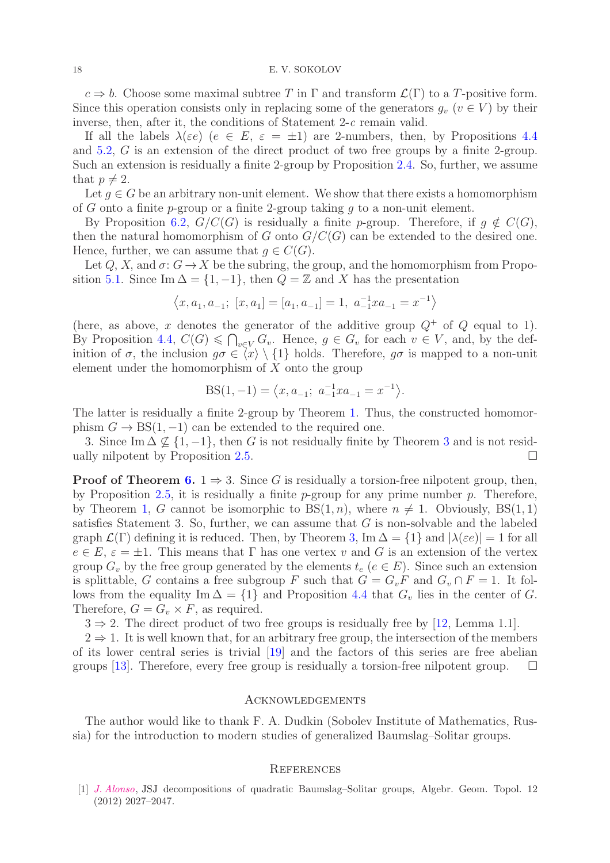$c \Rightarrow b$ . Choose some maximal subtree T in Γ and transform  $\mathcal{L}(\Gamma)$  to a T-positive form. Since this operation consists only in replacing some of the generators  $q_v$  ( $v \in V$ ) by their inverse, then, after it, the conditions of Statement 2-c remain valid.

If all the labels  $\lambda(\varepsilon e)$   $(e \in E, \varepsilon = \pm 1)$  are 2-numbers, then, by Propositions [4.4](#page-8-0) and [5.2,](#page-10-0) G is an extension of the direct product of two free groups by a finite 2-group. Such an extension is residually a finite 2-group by Proposition [2.4.](#page-3-4) So, further, we assume that  $p \neq 2$ .

Let  $g \in G$  be an arbitrary non-unit element. We show that there exists a homomorphism of G onto a finite p-group or a finite 2-group taking q to a non-unit element.

By Proposition [6.2,](#page-13-0)  $G/C(G)$  is residually a finite p-group. Therefore, if  $q \notin C(G)$ , then the natural homomorphism of G onto  $G/C(G)$  can be extended to the desired one. Hence, further, we can assume that  $g \in C(G)$ .

Let  $Q, X$ , and  $\sigma: G \to X$  be the subring, the group, and the homomorphism from Propo-sition [5.1.](#page-9-0) Since Im  $\Delta = \{1, -1\}$ , then  $Q = \mathbb{Z}$  and X has the presentation

$$
\left\langle x,a_1,a_{-1};\; [x,a_1]=[a_1,a_{-1}]=1,\; a_{-1}^{-1}xa_{-1}=x^{-1}\right\rangle
$$

(here, as above, x denotes the generator of the additive group  $Q^+$  of Q equal to 1). By Proposition [4.4,](#page-8-0)  $C(G) \leq \bigcap_{v \in V} G_v$ . Hence,  $g \in G_v$  for each  $v \in V$ , and, by the definition of  $\sigma$ , the inclusion  $g\sigma \in \langle x \rangle \setminus \{1\}$  holds. Therefore,  $g\sigma$  is mapped to a non-unit element under the homomorphism of  $X$  onto the group

BS(1, -1) = 
$$
\langle x, a_{-1}; a_{-1}^{-1}xa_{-1} = x^{-1} \rangle
$$
.

The latter is residually a finite 2-group by Theorem [1.](#page-1-0) Thus, the constructed homomorphism  $G \to BS(1, -1)$  can be extended to the required one.

[3](#page-2-0). Since Im  $\Delta \nsubseteq \{1, -1\}$ , then G is not residually finite by Theorem 3 and is not resid-ually nilpotent by Proposition [2.5.](#page-3-5)

**Proof of Theorem [6.](#page-3-0)** 1  $\Rightarrow$  3. Since G is residually a torsion-free nilpotent group, then, by Proposition [2.5,](#page-3-5) it is residually a finite  $p$ -group for any prime number  $p$ . Therefore, by Theorem [1,](#page-1-0) G cannot be isomorphic to  $BS(1, n)$ , where  $n \neq 1$ . Obviously,  $BS(1, 1)$ satisfies Statement 3. So, further, we can assume that  $G$  is non-solvable and the labeled graph  $\mathcal{L}(\Gamma)$  defining it is reduced. Then, by Theorem [3,](#page-2-0) Im  $\Delta = \{1\}$  and  $|\lambda(\varepsilon e)| = 1$  for all  $e \in E$ ,  $\varepsilon = \pm 1$ . This means that  $\Gamma$  has one vertex v and G is an extension of the vertex group  $G_v$  by the free group generated by the elements  $t_e$  ( $e \in E$ ). Since such an extension is splittable, G contains a free subgroup F such that  $G = G_vF$  and  $G_v \cap F = 1$ . It follows from the equality Im  $\Delta = \{1\}$  and Proposition [4.4](#page-8-0) that  $G_v$  lies in the center of G. Therefore,  $G = G_v \times F$ , as required.

 $3 \Rightarrow 2$ . The direct product of two free groups is residually free by [\[12,](#page-18-4) Lemma 1.1].

 $2 \Rightarrow 1$ . It is well known that, for an arbitrary free group, the intersection of the members of its lower central series is trivial [\[19\]](#page-18-24) and the factors of this series are free abelian groups [\[13\]](#page-18-25). Therefore, every free group is residually a torsion-free nilpotent group.  $\Box$ 

# **ACKNOWLEDGEMENTS**

The author would like to thank F. A. Dudkin (Sobolev Institute of Mathematics, Russia) for the introduction to modern studies of generalized Baumslag–Solitar groups.

## **REFERENCES**

<span id="page-17-0"></span>[1] [J. Alonso](http://dx.doi.org/10.2140/agt.2012.12.2027), JSJ decompositions of quadratic Baumslag–Solitar groups, Algebr. Geom. Topol. 12 (2012) 2027–2047.